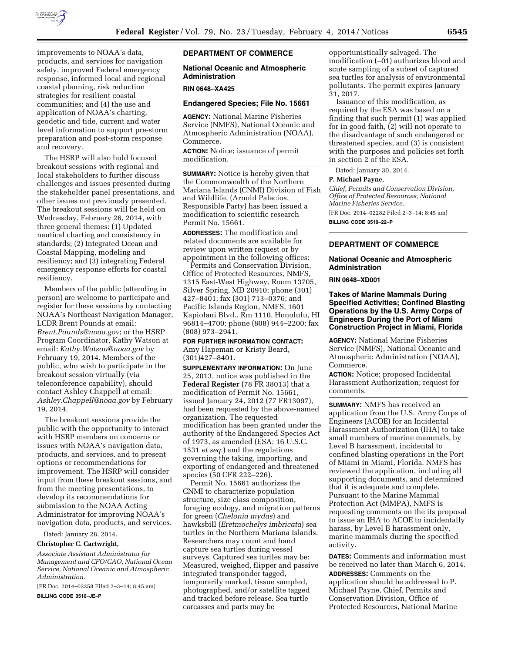

improvements to NOAA's data, products, and services for navigation safety, improved Federal emergency response, informed local and regional coastal planning, risk reduction strategies for resilient coastal communities; and (4) the use and application of NOAA's charting, geodetic and tide, current and water level information to support pre-storm preparation and post-storm response and recovery.

The HSRP will also hold focused breakout sessions with regional and local stakeholders to further discuss challenges and issues presented during the stakeholder panel presentations, and other issues not previously presented. The breakout sessions will be held on Wednesday, February 26, 2014, with three general themes: (1) Updated nautical charting and consistency in standards; (2) Integrated Ocean and Coastal Mapping, modeling and resiliency; and (3) integrating Federal emergency response efforts for coastal resiliency.

Members of the public (attending in person) are welcome to participate and register for these sessions by contacting NOAA's Northeast Navigation Manager, LCDR Brent Pounds at email: *[Brent.Pounds@noaa.gov](mailto:Brent.Pounds@noaa.gov)*; or the HSRP Program Coordinator, Kathy Watson at email: *[Kathy.Watson@noaa.gov](mailto:Kathy.Watson@noaa.gov)* by February 19, 2014. Members of the public, who wish to participate in the breakout session virtually (via teleconference capability), should contact Ashley Chappell at email: *[Ashley.Chappell@noaa.gov](mailto:Ashley.Chappell@noaa.gov)* by February 19, 2014.

The breakout sessions provide the public with the opportunity to interact with HSRP members on concerns or issues with NOAA's navigation data, products, and services, and to present options or recommendations for improvement. The HSRP will consider input from these breakout sessions, and from the meeting presentations, to develop its recommendations for submission to the NOAA Acting Administrator for improving NOAA's navigation data, products, and services.

Dated: January 28, 2014.

## **Christopher C. Cartwright,**

*Associate Assistant Administrator for Management and CFO/CAO, National Ocean Service, National Oceanic and Atmospheric Administration.* 

[FR Doc. 2014–02258 Filed 2–3–14; 8:45 am]

**BILLING CODE 3510–JE–P** 

# **DEPARTMENT OF COMMERCE**

# **National Oceanic and Atmospheric Administration**

#### **RIN 0648–XA425**

# **Endangered Species; File No. 15661**

**AGENCY:** National Marine Fisheries Service (NMFS), National Oceanic and Atmospheric Administration (NOAA), Commerce.

**ACTION:** Notice; issuance of permit modification.

**SUMMARY:** Notice is hereby given that the Commonwealth of the Northern Mariana Islands (CNMI) Division of Fish and Wildlife, (Arnold Palacios, Responsible Party) has been issued a modification to scientific research Permit No. 15661.

**ADDRESSES:** The modification and related documents are available for review upon written request or by appointment in the following offices:

Permits and Conservation Division, Office of Protected Resources, NMFS, 1315 East-West Highway, Room 13705, Silver Spring, MD 20910; phone (301) 427–8401; fax (301) 713–0376; and Pacific Islands Region, NMFS, 1601 Kapiolani Blvd., Rm 1110, Honolulu, HI 96814–4700; phone (808) 944–2200; fax (808) 973–2941.

**FOR FURTHER INFORMATION CONTACT:**  Amy Hapeman or Kristy Beard, (301)427–8401.

**SUPPLEMENTARY INFORMATION:** On June 25, 2013, notice was published in the **Federal Register** (78 FR 38013) that a modification of Permit No. 15661, issued January 24, 2012 (77 FR13097), had been requested by the above-named organization. The requested modification has been granted under the authority of the Endangered Species Act of 1973, as amended (ESA; 16 U.S.C. 1531 *et seq.*) and the regulations governing the taking, importing, and exporting of endangered and threatened species (50 CFR 222–226).

Permit No. 15661 authorizes the CNMI to characterize population structure, size class composition, foraging ecology, and migration patterns for green (*Chelonia mydas*) and hawksbill (*Eretmochelys imbricata*) sea turtles in the Northern Mariana Islands. Researchers may count and hand capture sea turtles during vessel surveys. Captured sea turtles may be: Measured, weighed, flipper and passive integrated transponder tagged, temporarily marked, tissue sampled, photographed, and/or satellite tagged and tracked before release. Sea turtle carcasses and parts may be

opportunistically salvaged. The modification (–01) authorizes blood and scute sampling of a subset of captured sea turtles for analysis of environmental pollutants. The permit expires January 31, 2017.

Issuance of this modification, as required by the ESA was based on a finding that such permit (1) was applied for in good faith, (2) will not operate to the disadvantage of such endangered or threatened species, and (3) is consistent with the purposes and policies set forth in section 2 of the ESA.

Dated: January 30, 2014.

### **P. Michael Payne,**

*Chief, Permits and Conservation Division, Office of Protected Resources, National Marine Fisheries Service.* 

[FR Doc. 2014–02282 Filed 2–3–14; 8:45 am]

**BILLING CODE 3510–22–P** 

### **DEPARTMENT OF COMMERCE**

#### **National Oceanic and Atmospheric Administration**

**RIN 0648–XD001** 

**Takes of Marine Mammals During Specified Activities; Confined Blasting Operations by the U.S. Army Corps of Engineers During the Port of Miami Construction Project in Miami, Florida** 

**AGENCY:** National Marine Fisheries Service (NMFS), National Oceanic and Atmospheric Administration (NOAA), Commerce.

**ACTION:** Notice; proposed Incidental Harassment Authorization; request for comments.

**SUMMARY:** NMFS has received an application from the U.S. Army Corps of Engineers (ACOE) for an Incidental Harassment Authorization (IHA) to take small numbers of marine mammals, by Level B harassment, incidental to confined blasting operations in the Port of Miami in Miami, Florida. NMFS has reviewed the application, including all supporting documents, and determined that it is adequate and complete. Pursuant to the Marine Mammal Protection Act (MMPA), NMFS is requesting comments on the its proposal to issue an IHA to ACOE to incidentally harass, by Level B harassment only, marine mammals during the specified activity.

**DATES:** Comments and information must be received no later than March 6, 2014. **ADDRESSES:** Comments on the application should be addressed to P. Michael Payne, Chief, Permits and Conservation Division, Office of Protected Resources, National Marine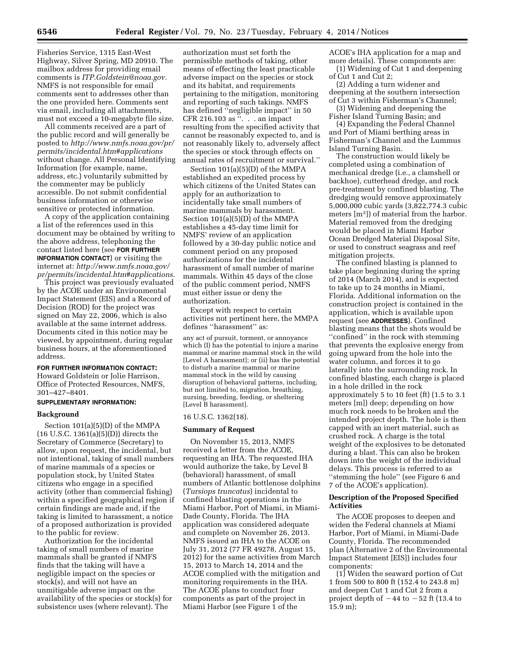Fisheries Service, 1315 East-West Highway, Silver Spring, MD 20910. The mailbox address for providing email comments is *[ITP.Goldstein@noaa.gov.](mailto:ITP.Goldstein@noaa.gov)*  NMFS is not responsible for email comments sent to addresses other than the one provided here. Comments sent via email, including all attachments, must not exceed a 10-megabyte file size.

All comments received are a part of the public record and will generally be posted to *[http://www.nmfs.noaa.gov/pr/](http://www.nmfs.noaa.gov/pr/permits/incidental.htm#applications) [permits/incidental.htm#applications](http://www.nmfs.noaa.gov/pr/permits/incidental.htm#applications)*  without change. All Personal Identifying Information (for example, name, address, etc.) voluntarily submitted by the commenter may be publicly accessible. Do not submit confidential business information or otherwise sensitive or protected information.

A copy of the application containing a list of the references used in this document may be obtained by writing to the above address, telephoning the contact listed here (see **FOR FURTHER INFORMATION CONTACT**) or visiting the internet at: *[http://www.nmfs.noaa.gov/](http://www.nmfs.noaa.gov/pr/permits/incidental.htm#applications) [pr/permits/incidental.htm#applications.](http://www.nmfs.noaa.gov/pr/permits/incidental.htm#applications)* 

This project was previously evaluated by the ACOE under an Environmental Impact Statement (EIS) and a Record of Decision (ROD) for the project was signed on May 22, 2006, which is also available at the same internet address. Documents cited in this notice may be viewed, by appointment, during regular business hours, at the aforementioned address.

# **FOR FURTHER INFORMATION CONTACT:**

Howard Goldstein or Jolie Harrison, Office of Protected Resources, NMFS, 301–427–8401.

## **SUPPLEMENTARY INFORMATION:**

#### **Background**

Section 101(a)(5)(D) of the MMPA (16 U.S.C. 1361(a)(5)(D)) directs the Secretary of Commerce (Secretary) to allow, upon request, the incidental, but not intentional, taking of small numbers of marine mammals of a species or population stock, by United States citizens who engage in a specified activity (other than commercial fishing) within a specified geographical region if certain findings are made and, if the taking is limited to harassment, a notice of a proposed authorization is provided to the public for review.

Authorization for the incidental taking of small numbers of marine mammals shall be granted if NMFS finds that the taking will have a negligible impact on the species or stock(s), and will not have an unmitigable adverse impact on the availability of the species or stock(s) for subsistence uses (where relevant). The

authorization must set forth the permissible methods of taking, other means of effecting the least practicable adverse impact on the species or stock and its habitat, and requirements pertaining to the mitigation, monitoring and reporting of such takings. NMFS has defined ''negligible impact'' in 50 CFR 216.103 as ''. . . an impact resulting from the specified activity that cannot be reasonably expected to, and is not reasonably likely to, adversely affect the species or stock through effects on annual rates of recruitment or survival.''

Section 101(a)(5)(D) of the MMPA established an expedited process by which citizens of the United States can apply for an authorization to incidentally take small numbers of marine mammals by harassment. Section 101(a)(5)(D) of the MMPA establishes a 45-day time limit for NMFS' review of an application followed by a 30-day public notice and comment period on any proposed authorizations for the incidental harassment of small number of marine mammals. Within 45 days of the close of the public comment period, NMFS must either issue or deny the authorization.

Except with respect to certain activities not pertinent here, the MMPA defines ''harassment'' as:

any act of pursuit, torment, or annoyance which (I) has the potential to injure a marine mammal or marine mammal stock in the wild [Level A harassment]; or (ii) has the potential to disturb a marine mammal or marine mammal stock in the wild by causing disruption of behavioral patterns, including, but not limited to, migration, breathing, nursing, breeding, feeding, or sheltering [Level B harassment].

### 16 U.S.C. 1362(18).

### **Summary of Request**

On November 15, 2013, NMFS received a letter from the ACOE, requesting an IHA. The requested IHA would authorize the take, by Level B (behavioral) harassment, of small numbers of Atlantic bottlenose dolphins (*Tursiops truncatus*) incidental to confined blasting operations in the Miami Harbor, Port of Miami, in Miami-Dade County, Florida. The IHA application was considered adequate and complete on November 26, 2013. NMFS issued an IHA to the ACOE on July 31, 2012 (77 FR 49278, August 15, 2012) for the same activities from March 15, 2013 to March 14, 2014 and the ACOE complied with the mitigation and monitoring requirements in the IHA. The ACOE plans to conduct four components as part of the project in Miami Harbor (see Figure 1 of the

ACOE's IHA application for a map and more details). These components are:

(1) Widening of Cut 1 and deepening of Cut 1 and Cut 2; (2) Adding a turn widener and

deepening at the southern intersection of Cut 3 within Fisherman's Channel; (3) Widening and deepening the

Fisher Island Turning Basin; and

(4) Expanding the Federal Channel and Port of Miami berthing areas in Fisherman's Channel and the Lummus Island Turning Basin.

The construction would likely be completed using a combination of mechanical dredge (i.e., a clamshell or backhoe), cutterhead dredge, and rock pre-treatment by confined blasting. The dredging would remove approximately 5,000,000 cubic yards (3,822,774.3 cubic meters [m3]) of material from the harbor. Material removed from the dredging would be placed in Miami Harbor Ocean Dredged Material Disposal Site, or used to construct seagrass and reef mitigation projects.

The confined blasting is planned to take place beginning during the spring of 2014 (March 2014), and is expected to take up to 24 months in Miami, Florida. Additional information on the construction project is contained in the application, which is available upon request (see **ADDRESSES**). Confined blasting means that the shots would be ''confined'' in the rock with stemming that prevents the explosive energy from going upward from the hole into the water column, and forces it to go laterally into the surrounding rock. In confined blasting, each charge is placed in a hole drilled in the rock approximately 5 to 10 feet (ft) (1.5 to 3.1 meters [m]) deep; depending on how much rock needs to be broken and the intended project depth. The hole is then capped with an inert material, such as crushed rock. A charge is the total weight of the explosives to be detonated during a blast. This can also be broken down into the weight of the individual delays. This process is referred to as ''stemming the hole'' (see Figure 6 and 7 of the ACOE's application).

# **Description of the Proposed Specified Activities**

The ACOE proposes to deepen and widen the Federal channels at Miami Harbor, Port of Miami, in Miami-Dade County, Florida. The recommended plan (Alternative 2 of the Environmental Impact Statement [EIS]) includes four components:

(1) Widen the seaward portion of Cut 1 from 500 to 800 ft (152.4 to 243.8 m) and deepen Cut 1 and Cut 2 from a project depth of  $-44$  to  $-52$  ft (13.4 to 15.9 m);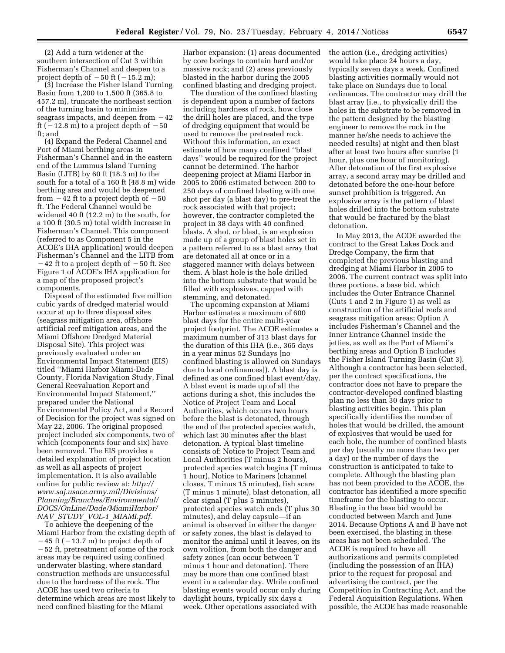(2) Add a turn widener at the southern intersection of Cut 3 within Fisherman's Channel and deepen to a project depth of  $-50$  ft ( $-15.2$  m);

(3) Increase the Fisher Island Turning Basin from 1,200 to 1,500 ft (365.8 to 457.2 m), truncate the northeast section of the turning basin to minimize seagrass impacts, and deepen from  $-42$ ft  $(-12.8 \text{ m})$  to a project depth of  $-50$ ft; and

(4) Expand the Federal Channel and Port of Miami berthing areas in Fisherman's Channel and in the eastern end of the Lummus Island Turning Basin (LITB) by 60 ft (18.3 m) to the south for a total of a 160 ft (48.8 m) wide berthing area and would be deepened from  $-42$  ft to a project depth of  $-50$ ft. The Federal Channel would be widened 40 ft (12.2 m) to the south, for a 100 ft (30.5 m) total width increase in Fisherman's Channel. This component (referred to as Component 5 in the ACOE's IHA application) would deepen Fisherman's Channel and the LITB from  $-42$  ft to a project depth of  $-50$  ft. See Figure 1 of ACOE's IHA application for a map of the proposed project's components.

Disposal of the estimated five million cubic yards of dredged material would occur at up to three disposal sites (seagrass mitigation area, offshore artificial reef mitigation areas, and the Miami Offshore Dredged Material Disposal Site). This project was previously evaluated under an Environmental Impact Statement (EIS) titled ''Miami Harbor Miami-Dade County, Florida Navigation Study, Final General Reevaluation Report and Environmental Impact Statement,'' prepared under the National Environmental Policy Act, and a Record of Decision for the project was signed on May 22, 2006. The original proposed project included six components, two of which (components four and six) have been removed. The EIS provides a detailed explanation of project location as well as all aspects of project implementation. It is also available online for public review at: *[http://](http://www.saj.usace.army.mil/Divisions/Planning/Branches/Environmental/DOCS/OnLine/Dade/MiamiHarbor/NAV_STUDY_VOL-1_MIAMI.pdf) [www.saj.usace.army.mil/Divisions/](http://www.saj.usace.army.mil/Divisions/Planning/Branches/Environmental/DOCS/OnLine/Dade/MiamiHarbor/NAV_STUDY_VOL-1_MIAMI.pdf) [Planning/Branches/Environmental/](http://www.saj.usace.army.mil/Divisions/Planning/Branches/Environmental/DOCS/OnLine/Dade/MiamiHarbor/NAV_STUDY_VOL-1_MIAMI.pdf) [DOCS/OnLine/Dade/MiamiHarbor/](http://www.saj.usace.army.mil/Divisions/Planning/Branches/Environmental/DOCS/OnLine/Dade/MiamiHarbor/NAV_STUDY_VOL-1_MIAMI.pdf) NAV*\_*STUDY*\_*VOL-1*\_*[MIAMI.pdf](http://www.saj.usace.army.mil/Divisions/Planning/Branches/Environmental/DOCS/OnLine/Dade/MiamiHarbor/NAV_STUDY_VOL-1_MIAMI.pdf)*.

To achieve the deepening of the Miami Harbor from the existing depth of  $-45$  ft ( $-13.7$  m) to project depth of  $-52$  ft, pretreatment of some of the rock areas may be required using confined underwater blasting, where standard construction methods are unsuccessful due to the hardness of the rock. The ACOE has used two criteria to determine which areas are most likely to need confined blasting for the Miami

Harbor expansion: (1) areas documented by core borings to contain hard and/or massive rock; and (2) areas previously blasted in the harbor during the 2005 confined blasting and dredging project.

The duration of the confined blasting is dependent upon a number of factors including hardness of rock, how close the drill holes are placed, and the type of dredging equipment that would be used to remove the pretreated rock. Without this information, an exact estimate of how many confined ''blast days'' would be required for the project cannot be determined. The harbor deepening project at Miami Harbor in 2005 to 2006 estimated between 200 to 250 days of confined blasting with one shot per day (a blast day) to pre-treat the rock associated with that project; however, the contractor completed the project in 38 days with 40 confined blasts. A shot, or blast, is an explosion made up of a group of blast holes set in a pattern referred to as a blast array that are detonated all at once or in a staggered manner with delays between them. A blast hole is the hole drilled into the bottom substrate that would be filled with explosives, capped with stemming, and detonated.

The upcoming expansion at Miami Harbor estimates a maximum of 600 blast days for the entire multi-year project footprint. The ACOE estimates a maximum number of 313 blast days for the duration of this IHA (i.e., 365 days in a year minus 52 Sundays [no confined blasting is allowed on Sundays due to local ordinances]). A blast day is defined as one confined blast event/day. A blast event is made up of all the actions during a shot, this includes the Notice of Project Team and Local Authorities, which occurs two hours before the blast is detonated, through the end of the protected species watch, which last 30 minutes after the blast detonation. A typical blast timeline consists of: Notice to Project Team and Local Authorities (T minus 2 hours), protected species watch begins (T minus 1 hour), Notice to Mariners (channel closes, T minus 15 minutes), fish scare (T minus 1 minute), blast detonation, all clear signal (T plus 5 minutes), protected species watch ends (T plus 30 minutes), and delay capsule—if an animal is observed in either the danger or safety zones, the blast is delayed to monitor the animal until it leaves, on its own volition, from both the danger and safety zones (can occur between T minus 1 hour and detonation). There may be more than one confined blast event in a calendar day. While confined blasting events would occur only during daylight hours, typically six days a week. Other operations associated with

the action (i.e., dredging activities) would take place 24 hours a day, typically seven days a week. Confined blasting activities normally would not take place on Sundays due to local ordinances. The contractor may drill the blast array (i.e., to physically drill the holes in the substrate to be removed in the pattern designed by the blasting engineer to remove the rock in the manner he/she needs to achieve the needed results) at night and then blast after at least two hours after sunrise (1 hour, plus one hour of monitoring). After detonation of the first explosive array, a second array may be drilled and detonated before the one-hour before sunset prohibition is triggered. An explosive array is the pattern of blast holes drilled into the bottom substrate that would be fractured by the blast detonation.

In May 2013, the ACOE awarded the contract to the Great Lakes Dock and Dredge Company, the firm that completed the previous blasting and dredging at Miami Harbor in 2005 to 2006. The current contract was split into three portions, a base bid, which includes the Outer Entrance Channel (Cuts 1 and 2 in Figure 1) as well as construction of the artificial reefs and seagrass mitigation areas; Option A includes Fisherman's Channel and the Inner Entrance Channel inside the jetties, as well as the Port of Miami's berthing areas and Option B includes the Fisher Island Turning Basin (Cut 3). Although a contractor has been selected, per the contract specifications, the contractor does not have to prepare the contractor-developed confined blasting plan no less than 30 days prior to blasting activities begin. This plan specifically identifies the number of holes that would be drilled, the amount of explosives that would be used for each hole, the number of confined blasts per day (usually no more than two per a day) or the number of days the construction is anticipated to take to complete. Although the blasting plan has not been provided to the ACOE, the contractor has identified a more specific timeframe for the blasting to occur. Blasting in the base bid would be conducted between March and June 2014. Because Options A and B have not been exercised, the blasting in these areas has not been scheduled. The ACOE is required to have all authorizations and permits completed (including the possession of an IHA) prior to the request for proposal and advertising the contract, per the Competition in Contracting Act, and the Federal Acquisition Regulations. When possible, the ACOE has made reasonable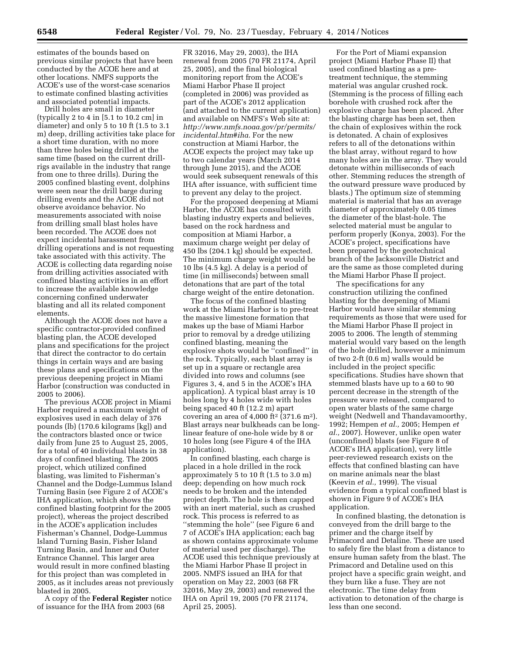estimates of the bounds based on previous similar projects that have been conducted by the ACOE here and at other locations. NMFS supports the ACOE's use of the worst-case scenarios to estimate confined blasting activities and associated potential impacts.

Drill holes are small in diameter (typically 2 to 4 in [5.1 to 10.2 cm] in diameter) and only 5 to 10 ft (1.5 to 3.1 m) deep, drilling activities take place for a short time duration, with no more than three holes being drilled at the same time (based on the current drillrigs available in the industry that range from one to three drills). During the 2005 confined blasting event, dolphins were seen near the drill barge during drilling events and the ACOE did not observe avoidance behavior. No measurements associated with noise from drilling small blast holes have been recorded. The ACOE does not expect incidental harassment from drilling operations and is not requesting take associated with this activity. The ACOE is collecting data regarding noise from drilling activities associated with confined blasting activities in an effort to increase the available knowledge concerning confined underwater blasting and all its related component elements.

Although the ACOE does not have a specific contractor-provided confined blasting plan, the ACOE developed plans and specifications for the project that direct the contractor to do certain things in certain ways and are basing these plans and specifications on the previous deepening project in Miami Harbor (construction was conducted in 2005 to 2006).

The previous ACOE project in Miami Harbor required a maximum weight of explosives used in each delay of 376 pounds (lb) (170.6 kilograms [kg]) and the contractors blasted once or twice daily from June 25 to August 25, 2005, for a total of 40 individual blasts in 38 days of confined blasting. The 2005 project, which utilized confined blasting, was limited to Fisherman's Channel and the Dodge-Lummus Island Turning Basin (see Figure 2 of ACOE's IHA application, which shows the confined blasting footprint for the 2005 project), whereas the project described in the ACOE's application includes Fisherman's Channel, Dodge-Lummus Island Turning Basin, Fisher Island Turning Basin, and Inner and Outer Entrance Channel. This larger area would result in more confined blasting for this project than was completed in 2005, as it includes areas not previously blasted in 2005.

A copy of the **Federal Register** notice of issuance for the IHA from 2003 (68

FR 32016, May 29, 2003), the IHA renewal from 2005 (70 FR 21174, April 25, 2005), and the final biological monitoring report from the ACOE's Miami Harbor Phase II project (completed in 2006) was provided as part of the ACOE's 2012 application (and attached to the current application) and available on NMFS's Web site at: *[http://www.nmfs.noaa.gov/pr/permits/](http://www.nmfs.noaa.gov/pr/permits/incidental.htm#iha) [incidental.htm#iha](http://www.nmfs.noaa.gov/pr/permits/incidental.htm#iha)*. For the new construction at Miami Harbor, the ACOE expects the project may take up to two calendar years (March 2014 through June 2015), and the ACOE would seek subsequent renewals of this IHA after issuance, with sufficient time to prevent any delay to the project.

For the proposed deepening at Miami Harbor, the ACOE has consulted with blasting industry experts and believes, based on the rock hardness and composition at Miami Harbor, a maximum charge weight per delay of 450 lbs (204.1 kg) should be expected. The minimum charge weight would be 10 lbs (4.5 kg). A delay is a period of time (in milliseconds) between small detonations that are part of the total charge weight of the entire detonation.

The focus of the confined blasting work at the Miami Harbor is to pre-treat the massive limestone formation that makes up the base of Miami Harbor prior to removal by a dredge utilizing confined blasting, meaning the explosive shots would be ''confined'' in the rock. Typically, each blast array is set up in a square or rectangle area divided into rows and columns (see Figures 3, 4, and 5 in the ACOE's IHA application). A typical blast array is 10 holes long by 4 holes wide with holes being spaced 40 ft (12.2 m) apart covering an area of  $4,000$  ft<sup>2</sup> (371.6 m<sup>2</sup>). Blast arrays near bulkheads can be longlinear feature of one-hole wide by 8 or 10 holes long (see Figure 4 of the IHA application).

In confined blasting, each charge is placed in a hole drilled in the rock approximately 5 to 10 ft (1.5 to 3.0 m) deep; depending on how much rock needs to be broken and the intended project depth. The hole is then capped with an inert material, such as crushed rock. This process is referred to as ''stemming the hole'' (see Figure 6 and 7 of ACOE's IHA application; each bag as shown contains approximate volume of material used per discharge). The ACOE used this technique previously at the Miami Harbor Phase II project in 2005. NMFS issued an IHA for that operation on May 22, 2003 (68 FR 32016, May 29, 2003) and renewed the IHA on April 19, 2005 (70 FR 21174, April 25, 2005).

For the Port of Miami expansion project (Miami Harbor Phase II) that used confined blasting as a pretreatment technique, the stemming material was angular crushed rock. (Stemming is the process of filling each borehole with crushed rock after the explosive charge has been placed. After the blasting charge has been set, then the chain of explosives within the rock is detonated. A chain of explosives refers to all of the detonations within the blast array, without regard to how many holes are in the array. They would detonate within milliseconds of each other. Stemming reduces the strength of the outward pressure wave produced by blasts.) The optimum size of stemming material is material that has an average diameter of approximately 0.05 times the diameter of the blast-hole. The selected material must be angular to perform properly (Konya, 2003). For the ACOE's project, specifications have been prepared by the geotechnical branch of the Jacksonville District and are the same as those completed during the Miami Harbor Phase II project.

The specifications for any construction utilizing the confined blasting for the deepening of Miami Harbor would have similar stemming requirements as those that were used for the Miami Harbor Phase II project in 2005 to 2006. The length of stemming material would vary based on the length of the hole drilled, however a minimum of two 2-ft (0.6 m) walls would be included in the project specific specifications. Studies have shown that stemmed blasts have up to a 60 to 90 percent decrease in the strength of the pressure wave released, compared to open water blasts of the same charge weight (Nedwell and Thandavamoorthy, 1992; Hempen *et al.,* 2005; Hempen *et al.,* 2007). However, unlike open water (unconfined) blasts (see Figure 8 of ACOE's IHA application), very little peer-reviewed research exists on the effects that confined blasting can have on marine animals near the blast (Keevin *et al.,* 1999). The visual evidence from a typical confined blast is shown in Figure 9 of ACOE's IHA application.

In confined blasting, the detonation is conveyed from the drill barge to the primer and the charge itself by Primacord and Detaline. These are used to safely fire the blast from a distance to ensure human safety from the blast. The Primacord and Detaline used on this project have a specific grain weight, and they burn like a fuse. They are not electronic. The time delay from activation to detonation of the charge is less than one second.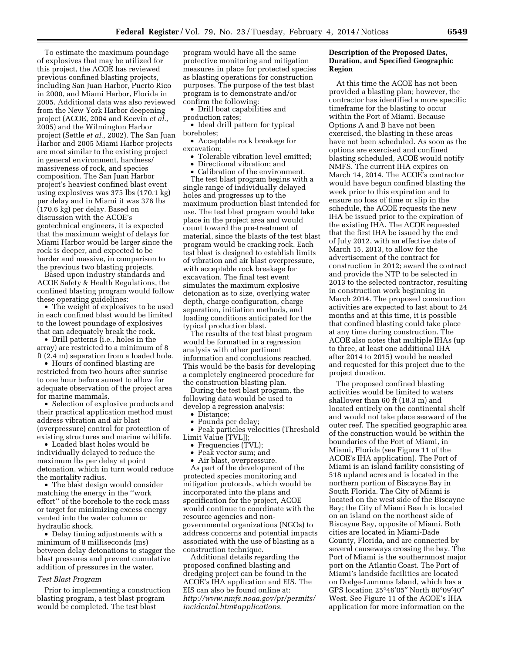To estimate the maximum poundage of explosives that may be utilized for this project, the ACOE has reviewed previous confined blasting projects, including San Juan Harbor, Puerto Rico in 2000, and Miami Harbor, Florida in 2005. Additional data was also reviewed from the New York Harbor deepening project (ACOE, 2004 and Keevin *et al.,*  2005) and the Wilmington Harbor project (Settle *et al.,* 2002). The San Juan Harbor and 2005 Miami Harbor projects are most similar to the existing project in general environment, hardness/ massiveness of rock, and species composition. The San Juan Harbor project's heaviest confined blast event using explosives was 375 lbs (170.1 kg) per delay and in Miami it was 376 lbs (170.6 kg) per delay. Based on discussion with the ACOE's geotechnical engineers, it is expected that the maximum weight of delays for Miami Harbor would be larger since the rock is deeper, and expected to be harder and massive, in comparison to the previous two blasting projects.

Based upon industry standards and ACOE Safety & Health Regulations, the confined blasting program would follow these operating guidelines:

• The weight of explosives to be used in each confined blast would be limited to the lowest poundage of explosives that can adequately break the rock.

• Drill patterns (i.e., holes in the array) are restricted to a minimum of 8 ft (2.4 m) separation from a loaded hole.

• Hours of confined blasting are restricted from two hours after sunrise to one hour before sunset to allow for adequate observation of the project area for marine mammals.

• Selection of explosive products and their practical application method must address vibration and air blast (overpressure) control for protection of existing structures and marine wildlife.

• Loaded blast holes would be individually delayed to reduce the maximum lbs per delay at point detonation, which in turn would reduce the mortality radius.

• The blast design would consider matching the energy in the ''work effort'' of the borehole to the rock mass or target for minimizing excess energy vented into the water column or hydraulic shock.

• Delay timing adjustments with a minimum of 8 milliseconds (ms) between delay detonations to stagger the blast pressures and prevent cumulative addition of pressures in the water.

### *Test Blast Program*

Prior to implementing a construction blasting program, a test blast program would be completed. The test blast

program would have all the same protective monitoring and mitigation measures in place for protected species as blasting operations for construction purposes. The purpose of the test blast program is to demonstrate and/or confirm the following:

• Drill boat capabilities and production rates;

• Ideal drill pattern for typical boreholes;

• Acceptable rock breakage for excavation;

• Tolerable vibration level emitted;

• Directional vibration; and

• Calibration of the environment. The test blast program begins with a single range of individually delayed holes and progresses up to the maximum production blast intended for use. The test blast program would take place in the project area and would count toward the pre-treatment of material, since the blasts of the test blast program would be cracking rock. Each test blast is designed to establish limits of vibration and air blast overpressure, with acceptable rock breakage for excavation. The final test event simulates the maximum explosive detonation as to size, overlying water depth, charge configuration, charge separation, initiation methods, and loading conditions anticipated for the typical production blast.

The results of the test blast program would be formatted in a regression analysis with other pertinent information and conclusions reached. This would be the basis for developing a completely engineered procedure for the construction blasting plan.

During the test blast program, the following data would be used to develop a regression analysis:

• Distance:

• Pounds per delay;

• Peak particles velocities (Threshold Limit Value [TVL]);

- Frequencies (TVL);
- Peak vector sum; and
- Air blast, overpressure.

As part of the development of the protected species monitoring and mitigation protocols, which would be incorporated into the plans and specification for the project, ACOE would continue to coordinate with the resource agencies and nongovernmental organizations (NGOs) to address concerns and potential impacts associated with the use of blasting as a construction technique.

Additional details regarding the proposed confined blasting and dredging project can be found in the ACOE's IHA application and EIS. The EIS can also be found online at: *[http://www.nmfs.noaa.gov/pr/permits/](http://www.nmfs.noaa.gov/pr/permits/incidental.htm#applications) [incidental.htm#applications](http://www.nmfs.noaa.gov/pr/permits/incidental.htm#applications)*.

# **Description of the Proposed Dates, Duration, and Specified Geographic Region**

At this time the ACOE has not been provided a blasting plan; however, the contractor has identified a more specific timeframe for the blasting to occur within the Port of Miami. Because Options A and B have not been exercised, the blasting in these areas have not been scheduled. As soon as the options are exercised and confined blasting scheduled, ACOE would notify NMFS. The current IHA expires on March 14, 2014. The ACOE's contractor would have begun confined blasting the week prior to this expiration and to ensure no loss of time or slip in the schedule, the ACOE requests the new IHA be issued prior to the expiration of the existing IHA. The ACOE requested that the first IHA be issued by the end of July 2012, with an effective date of March 15, 2013, to allow for the advertisement of the contract for construction in 2012; award the contract and provide the NTP to be selected in 2013 to the selected contractor, resulting in construction work beginning in March 2014. The proposed construction activities are expected to last about to 24 months and at this time, it is possible that confined blasting could take place at any time during construction. The ACOE also notes that multiple IHAs (up to three, at least one additional IHA after 2014 to 2015) would be needed and requested for this project due to the project duration.

The proposed confined blasting activities would be limited to waters shallower than 60 ft (18.3 m) and located entirely on the continental shelf and would not take place seaward of the outer reef. The specified geographic area of the construction would be within the boundaries of the Port of Miami, in Miami, Florida (see Figure 11 of the ACOE's IHA application). The Port of Miami is an island facility consisting of 518 upland acres and is located in the northern portion of Biscayne Bay in South Florida. The City of Miami is located on the west side of the Biscayne Bay; the City of Miami Beach is located on an island on the northeast side of Biscayne Bay, opposite of Miami. Both cities are located in Miami-Dade County, Florida, and are connected by several causeways crossing the bay. The Port of Miami is the southernmost major port on the Atlantic Coast. The Port of Miami's landside facilities are located on Dodge-Lummus Island, which has a GPS location 25°46′05″ North 80°09′40″ West. See Figure 11 of the ACOE's IHA application for more information on the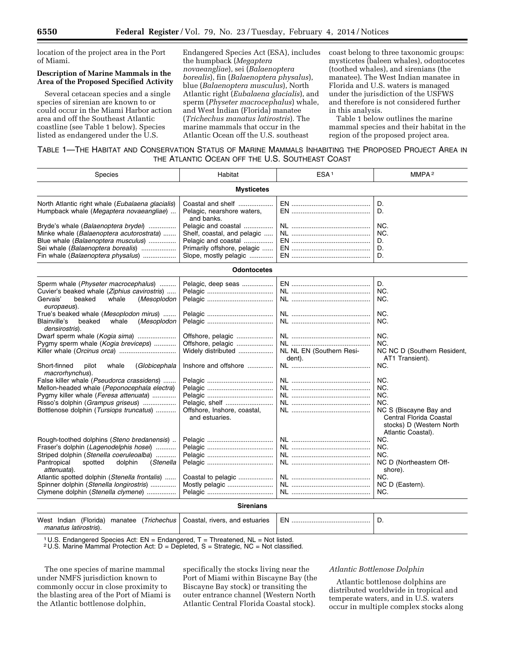location of the project area in the Port of Miami.

# **Description of Marine Mammals in the Area of the Proposed Specified Activity**

Several cetacean species and a single species of sirenian are known to or could occur in the Miami Harbor action area and off the Southeast Atlantic coastline (see Table 1 below). Species listed as endangered under the U.S.

Endangered Species Act (ESA), includes the humpback (*Megaptera novaeangliae*), sei (*Balaenoptera borealis*), fin (*Balaenoptera physalus*), blue (*Balaenoptera musculus*), North Atlantic right (*Eubalaena glacialis*), and sperm (*Physeter macrocephalus*) whale, and West Indian (Florida) manatee (*Trichechus manatus latirostris*). The marine mammals that occur in the Atlantic Ocean off the U.S. southeast

coast belong to three taxonomic groups: mysticetes (baleen whales), odontocetes (toothed whales), and sirenians (the manatee). The West Indian manatee in Florida and U.S. waters is managed under the jurisdiction of the USFWS and therefore is not considered further in this analysis.

Table 1 below outlines the marine mammal species and their habitat in the region of the proposed project area.

# TABLE 1—THE HABITAT AND CONSERVATION STATUS OF MARINE MAMMALS INHABITING THE PROPOSED PROJECT AREA IN THE ATLANTIC OCEAN OFF THE U.S. SOUTHEAST COAST

| Species                                                                                                                                                                                                                                                                                                                                                                                                                                                                                                                                                                                                                            | Habitat                                                                                                                                                                       | ESA <sup>1</sup>                   | MMPA <sup>2</sup>                                                                                                                                                                                                  |  |  |  |
|------------------------------------------------------------------------------------------------------------------------------------------------------------------------------------------------------------------------------------------------------------------------------------------------------------------------------------------------------------------------------------------------------------------------------------------------------------------------------------------------------------------------------------------------------------------------------------------------------------------------------------|-------------------------------------------------------------------------------------------------------------------------------------------------------------------------------|------------------------------------|--------------------------------------------------------------------------------------------------------------------------------------------------------------------------------------------------------------------|--|--|--|
| <b>Mysticetes</b>                                                                                                                                                                                                                                                                                                                                                                                                                                                                                                                                                                                                                  |                                                                                                                                                                               |                                    |                                                                                                                                                                                                                    |  |  |  |
| North Atlantic right whale (Eubalaena glacialis)<br>Humpback whale (Megaptera novaeangliae)                                                                                                                                                                                                                                                                                                                                                                                                                                                                                                                                        | Coastal and shelf<br>Pelagic, nearshore waters,<br>and banks.                                                                                                                 |                                    | D.<br>D.                                                                                                                                                                                                           |  |  |  |
| Bryde's whale (Balaenoptera brydei)<br>Minke whale (Balaenoptera acutorostrata)<br>Blue whale (Balaenoptera musculus)<br>Sei whale (Balaenoptera borealis)<br>Fin whale (Balaenoptera physalus)                                                                                                                                                                                                                                                                                                                                                                                                                                    | Pelagic and coastal<br>Shelf, coastal, and pelagic<br>Pelagic and coastal<br>Primarily offshore, pelagic<br>Slope, mostly pelagic                                             |                                    | NC.<br>NC.<br>D.<br>D.<br>D.                                                                                                                                                                                       |  |  |  |
|                                                                                                                                                                                                                                                                                                                                                                                                                                                                                                                                                                                                                                    | <b>Odontocetes</b>                                                                                                                                                            |                                    |                                                                                                                                                                                                                    |  |  |  |
| Sperm whale (Physeter macrocephalus)<br>Cuvier's beaked whale (Ziphius cavirostris)<br>Gervais'<br>beaked<br>whale<br>(Mesoplodon<br>europaeus).<br>True's beaked whale (Mesoplodon mirus)<br>whale<br>Blainville's<br>beaked<br>(Mesoplodon<br>densirostris).<br>Dwarf sperm whale (Kogia sima)<br>Pygmy sperm whale (Kogia breviceps)<br>Short-finned<br>pilot<br>whale<br>(Globicephala<br>macrorhynchus).<br>False killer whale (Pseudorca crassidens)<br>Mellon-headed whale (Peponocephala electra)<br>Pygmy killer whale (Feresa attenuata)<br>Risso's dolphin (Grampus griseus)<br>Bottlenose dolphin (Tursiops truncatus) | Pelagic, deep seas<br>Offshore, pelagic<br>Offshore, pelagic<br>Widely distributed<br>Inshore and offshore<br>Pelagic, shelf<br>Offshore, Inshore, coastal,<br>and estuaries. | NL NL EN (Southern Resi-<br>dent). | D.<br>NC.<br>NC.<br>NC.<br>NC.<br>NC.<br>NC.<br>NC NC D (Southern Resident,<br>AT1 Transient).<br>NC.<br>NC.<br>NC.<br>NC.<br>NC.<br>NC S (Biscayne Bay and<br>Central Florida Coastal<br>stocks) D (Western North |  |  |  |
| Rough-toothed dolphins (Steno bredanensis)<br>Fraser's dolphin (Lagenodelphis hosei)<br>Striped dolphin (Stenella coeruleoalba)<br>spotted<br>Pantropical<br>dolphin<br>(Stenella<br>attenuata).<br>Atlantic spotted dolphin (Stenella frontalis)<br>Spinner dolphin (Stenella longirostris)<br>Clymene dolphin (Stenella clymene)                                                                                                                                                                                                                                                                                                 | Coastal to pelagic<br>Mostly pelagic                                                                                                                                          |                                    | Atlantic Coastal).<br>NC.<br>NC.<br>NC.<br>NC D (Northeastern Off-<br>shore).<br>NC.<br>NC D (Eastern).<br>NC.                                                                                                     |  |  |  |
|                                                                                                                                                                                                                                                                                                                                                                                                                                                                                                                                                                                                                                    | <b>Sirenians</b>                                                                                                                                                              |                                    |                                                                                                                                                                                                                    |  |  |  |

| West | Indian                | (Florida) | manatee | (Trichechus   Coastal, rivers, and estuaries | FN |  |
|------|-----------------------|-----------|---------|----------------------------------------------|----|--|
|      | manatus latirostris). |           |         |                                              |    |  |

<sup>1</sup> U.S. Endangered Species Act:  $EN = Endangered$ ,  $T = Threatened$ ,  $NL = Not listed$ .

2 U.S. Marine Mammal Protection Act: D = Depleted, S = Strategic, NC = Not classified.

The one species of marine mammal under NMFS jurisdiction known to commonly occur in close proximity to the blasting area of the Port of Miami is the Atlantic bottlenose dolphin,

specifically the stocks living near the Port of Miami within Biscayne Bay (the Biscayne Bay stock) or transiting the outer entrance channel (Western North Atlantic Central Florida Coastal stock).

# *Atlantic Bottlenose Dolphin*

Atlantic bottlenose dolphins are distributed worldwide in tropical and temperate waters, and in U.S. waters occur in multiple complex stocks along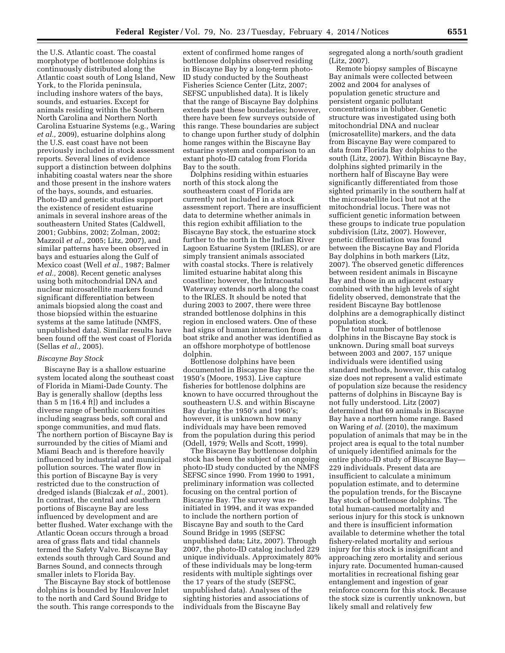the U.S. Atlantic coast. The coastal morphotype of bottlenose dolphins is continuously distributed along the Atlantic coast south of Long Island, New York, to the Florida peninsula, including inshore waters of the bays, sounds, and estuaries. Except for animals residing within the Southern North Carolina and Northern North Carolina Estuarine Systems (e.g., Waring *et al.,* 2009), estuarine dolphins along the U.S. east coast have not been previously included in stock assessment reports. Several lines of evidence support a distinction between dolphins inhabiting coastal waters near the shore and those present in the inshore waters of the bays, sounds, and estuaries. Photo-ID and genetic studies support the existence of resident estuarine animals in several inshore areas of the southeastern United States (Caldwell, 2001; Gubbins, 2002; Zolman, 2002; Mazzoil *et al.,* 2005; Litz, 2007), and similar patterns have been observed in bays and estuaries along the Gulf of Mexico coast (Well *et al.,* 1987; Balmer *et al.,* 2008). Recent genetic analyses using both mitochondrial DNA and nuclear microsatellite markers found significant differentiation between animals biopsied along the coast and those biopsied within the estuarine systems at the same latitude (NMFS, unpublished data). Similar results have been found off the west coast of Florida (Sellas *et al.,* 2005).

### *Biscayne Bay Stock*

Biscayne Bay is a shallow estuarine system located along the southeast coast of Florida in Miami-Dade County. The Bay is generally shallow (depths less than 5 m [16.4 ft]) and includes a diverse range of benthic communities including seagrass beds, soft coral and sponge communities, and mud flats. The northern portion of Biscayne Bay is surrounded by the cities of Miami and Miami Beach and is therefore heavily influenced by industrial and municipal pollution sources. The water flow in this portion of Biscayne Bay is very restricted due to the construction of dredged islands (Bialczak *et al.,* 2001). In contrast, the central and southern portions of Biscayne Bay are less influenced by development and are better flushed. Water exchange with the Atlantic Ocean occurs through a broad area of grass flats and tidal channels termed the Safety Valve. Biscayne Bay extends south through Card Sound and Barnes Sound, and connects through smaller inlets to Florida Bay.

The Biscayne Bay stock of bottlenose dolphins is bounded by Haulover Inlet to the north and Card Sound Bridge to the south. This range corresponds to the

extent of confirmed home ranges of bottlenose dolphins observed residing in Biscayne Bay by a long-term photo-ID study conducted by the Southeast Fisheries Science Center (Litz, 2007; SEFSC unpublished data). It is likely that the range of Biscayne Bay dolphins extends past these boundaries; however, there have been few surveys outside of this range. These boundaries are subject to change upon further study of dolphin home ranges within the Biscayne Bay estuarine system and comparison to an extant photo-ID catalog from Florida Bay to the south.

Dolphins residing within estuaries north of this stock along the southeastern coast of Florida are currently not included in a stock assessment report. There are insufficient data to determine whether animals in this region exhibit affiliation to the Biscayne Bay stock, the estuarine stock further to the north in the Indian River Lagoon Estuarine System (IRLES), or are simply transient animals associated with coastal stocks. There is relatively limited estuarine habitat along this coastline; however, the Intracoastal Waterway extends north along the coast to the IRLES. It should be noted that during 2003 to 2007, there were three stranded bottlenose dolphins in this region in enclosed waters. One of these had signs of human interaction from a boat strike and another was identified as an offshore morphotype of bottlenose dolphin.

Bottlenose dolphins have been documented in Biscayne Bay since the 1950's (Moore, 1953). Live capture fisheries for bottlenose dolphins are known to have occurred throughout the southeastern U.S. and within Biscayne Bay during the 1950's and 1960's; however, it is unknown how many individuals may have been removed from the population during this period (Odell, 1979; Wells and Scott, 1999).

The Biscayne Bay bottlenose dolphin stock has been the subject of an ongoing photo-ID study conducted by the NMFS SEFSC since 1990. From 1990 to 1991, preliminary information was collected focusing on the central portion of Biscayne Bay. The survey was reinitiated in 1994, and it was expanded to include the northern portion of Biscayne Bay and south to the Card Sound Bridge in 1995 (SEFSC unpublished data; Litz, 2007). Through 2007, the photo-ID catalog included 229 unique individuals. Approximately 80% of these individuals may be long-term residents with multiple sightings over the 17 years of the study (SEFSC, unpublished data). Analyses of the sighting histories and associations of individuals from the Biscayne Bay

segregated along a north/south gradient (Litz, 2007).

Remote biopsy samples of Biscayne Bay animals were collected between 2002 and 2004 for analyses of population genetic structure and persistent organic pollutant concentrations in blubber. Genetic structure was investigated using both mitochondrial DNA and nuclear (microsatellite) markers, and the data from Biscayne Bay were compared to data from Florida Bay dolphins to the south (Litz, 2007). Within Biscayne Bay, dolphins sighted primarily in the northern half of Biscayne Bay were significantly differentiated from those sighted primarily in the southern half at the microsatellite loci but not at the mitochondrial locus. There was not sufficient genetic information between these groups to indicate true population subdivision (Litz, 2007). However, genetic differentiation was found between the Biscayne Bay and Florida Bay dolphins in both markers (Litz, 2007). The observed genetic differences between resident animals in Biscayne Bay and those in an adjacent estuary combined with the high levels of sight fidelity observed, demonstrate that the resident Biscayne Bay bottlenose dolphins are a demographically distinct population stock.

The total number of bottlenose dolphins in the Biscayne Bay stock is unknown. During small boat surveys between 2003 and 2007, 157 unique individuals were identified using standard methods, however, this catalog size does not represent a valid estimate of population size because the residency patterns of dolphins in Biscayne Bay is not fully understood. Litz (2007) determined that 69 animals in Biscayne Bay have a northern home range. Based on Waring *et al.* (2010), the maximum population of animals that may be in the project area is equal to the total number of uniquely identified animals for the entire photo-ID study of Biscayne Bay— 229 individuals. Present data are insufficient to calculate a minimum population estimate, and to determine the population trends, for the Biscayne Bay stock of bottlenose dolphins. The total human-caused mortality and serious injury for this stock is unknown and there is insufficient information available to determine whether the total fishery-related mortality and serious injury for this stock is insignificant and approaching zero mortality and serious injury rate. Documented human-caused mortalities in recreational fishing gear entanglement and ingestion of gear reinforce concern for this stock. Because the stock size is currently unknown, but likely small and relatively few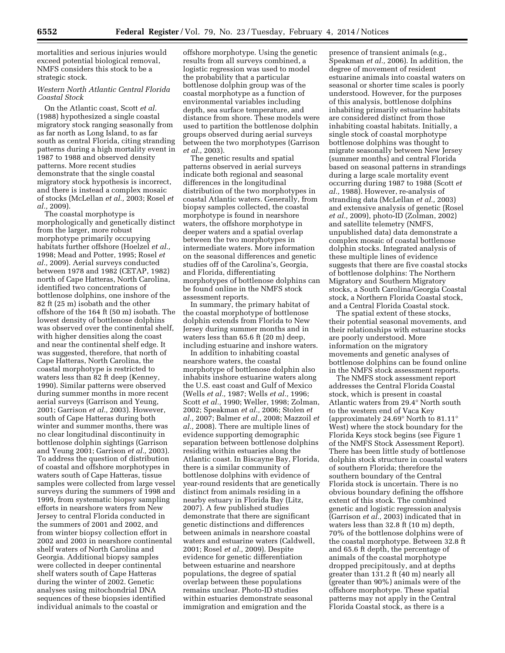mortalities and serious injuries would exceed potential biological removal, NMFS considers this stock to be a strategic stock.

# *Western North Atlantic Central Florida Coastal Stock*

On the Atlantic coast, Scott *et al.*  (1988) hypothesized a single coastal migratory stock ranging seasonally from as far north as Long Island, to as far south as central Florida, citing stranding patterns during a high mortality event in 1987 to 1988 and observed density patterns. More recent studies demonstrate that the single coastal migratory stock hypothesis is incorrect, and there is instead a complex mosaic of stocks (McLellan *et al.,* 2003; Rosel *et al.,* 2009).

The coastal morphotype is morphologically and genetically distinct from the larger, more robust morphotype primarily occupying habitats further offshore (Hoelzel *et al.,*  1998; Mead and Potter, 1995; Rosel *et al.,* 2009). Aerial surveys conducted between 1978 and 1982 (CETAP, 1982) north of Cape Hatteras, North Carolina, identified two concentrations of bottlenose dolphins, one inshore of the 82 ft (25 m) isobath and the other offshore of the 164 ft (50 m) isobath. The lowest density of bottlenose dolphins was observed over the continental shelf, with higher densities along the coast and near the continental shelf edge. It was suggested, therefore, that north of Cape Hatteras, North Carolina, the coastal morphotype is restricted to waters less than 82 ft deep (Kenney, 1990). Similar patterns were observed during summer months in more recent aerial surveys (Garrison and Yeung, 2001; Garrison *et al.,* 2003). However, south of Cape Hatteras during both winter and summer months, there was no clear longitudinal discontinuity in bottlenose dolphin sightings (Garrison and Yeung 2001; Garrison *et al.,* 2003). To address the question of distribution of coastal and offshore morphotypes in waters south of Cape Hatteras, tissue samples were collected from large vessel surveys during the summers of 1998 and 1999, from systematic biopsy sampling efforts in nearshore waters from New Jersey to central Florida conducted in the summers of 2001 and 2002, and from winter biopsy collection effort in 2002 and 2003 in nearshore continental shelf waters of North Carolina and Georgia. Additional biopsy samples were collected in deeper continental shelf waters south of Cape Hatteras during the winter of 2002. Genetic analyses using mitochondrial DNA sequences of these biopsies identified individual animals to the coastal or

offshore morphotype. Using the genetic results from all surveys combined, a logistic regression was used to model the probability that a particular bottlenose dolphin group was of the coastal morphotype as a function of environmental variables including depth, sea surface temperature, and distance from shore. These models were used to partition the bottlenose dolphin groups observed during aerial surveys between the two morphotypes (Garrison *et al.,* 2003).

The genetic results and spatial patterns observed in aerial surveys indicate both regional and seasonal differences in the longitudinal distribution of the two morphotypes in coastal Atlantic waters. Generally, from biopsy samples collected, the coastal morphotype is found in nearshore waters, the offshore morphotype in deeper waters and a spatial overlap between the two morphotypes in intermediate waters. More information on the seasonal differences and genetic studies off of the Carolina's, Georgia, and Florida, differentiating morphotypes of bottlenose dolphins can be found online in the NMFS stock assessment reports.

In summary, the primary habitat of the coastal morphotype of bottlenose dolphin extends from Florida to New Jersey during summer months and in waters less than 65.6 ft (20 m) deep, including estuarine and inshore waters.

In addition to inhabiting coastal nearshore waters, the coastal morphotype of bottlenose dolphin also inhabits inshore estuarine waters along the U.S. east coast and Gulf of Mexico (Wells *et al.,* 1987; Wells *et al.,* 1996; Scott *et al.,* 1990; Weller, 1998; Zolman, 2002; Speakman *et al.,* 2006; Stolen *et al.,* 2007; Balmer *et al.,* 2008; Mazzoil *et al.,* 2008). There are multiple lines of evidence supporting demographic separation between bottlenose dolphins residing within estuaries along the Atlantic coast. In Biscayne Bay, Florida, there is a similar community of bottlenose dolphins with evidence of year-round residents that are genetically distinct from animals residing in a nearby estuary in Florida Bay (Litz, 2007). A few published studies demonstrate that there are significant genetic distinctions and differences between animals in nearshore coastal waters and estuarine waters (Caldwell, 2001; Rosel *et al.,* 2009). Despite evidence for genetic differentiation between estuarine and nearshore populations, the degree of spatial overlap between these populations remains unclear. Photo-ID studies within estuaries demonstrate seasonal immigration and emigration and the

presence of transient animals (e.g., Speakman *et al.,* 2006). In addition, the degree of movement of resident estuarine animals into coastal waters on seasonal or shorter time scales is poorly understood. However, for the purposes of this analysis, bottlenose dolphins inhabiting primarily estuarine habitats are considered distinct from those inhabiting coastal habitats. Initially, a single stock of coastal morphotype bottlenose dolphins was thought to migrate seasonally between New Jersey (summer months) and central Florida based on seasonal patterns in strandings during a large scale mortality event occurring during 1987 to 1988 (Scott *et al.,* 1988). However, re-analysis of stranding data (McLellan *et al.,* 2003) and extensive analysis of genetic (Rosel *et al.,* 2009), photo-ID (Zolman, 2002) and satellite telemetry (NMFS, unpublished data) data demonstrate a complex mosaic of coastal bottlenose dolphin stocks. Integrated analysis of these multiple lines of evidence suggests that there are five coastal stocks of bottlenose dolphins: The Northern Migratory and Southern Migratory stocks, a South Carolina/Georgia Coastal stock, a Northern Florida Coastal stock, and a Central Florida Coastal stock.

The spatial extent of these stocks, their potential seasonal movements, and their relationships with estuarine stocks are poorly understood. More information on the migratory movements and genetic analyses of bottlenose dolphins can be found online in the NMFS stock assessment reports.

The NMFS stock assessment report addresses the Central Florida Coastal stock, which is present in coastal Atlantic waters from 29.4° North south to the western end of Vaca Key (approximately 24.69° North to 81.11° West) where the stock boundary for the Florida Keys stock begins (see Figure 1 of the NMFS Stock Assessment Report). There has been little study of bottlenose dolphin stock structure in coastal waters of southern Florida; therefore the southern boundary of the Central Florida stock is uncertain. There is no obvious boundary defining the offshore extent of this stock. The combined genetic and logistic regression analysis (Garrison *et al.,* 2003) indicated that in waters less than 32.8 ft (10 m) depth, 70% of the bottlenose dolphins were of the coastal morphotype. Between 32.8 ft and 65.6 ft depth, the percentage of animals of the coastal morphotype dropped precipitously, and at depths greater than 131.2 ft (40 m) nearly all (greater than 90%) animals were of the offshore morphotype. These spatial patterns may not apply in the Central Florida Coastal stock, as there is a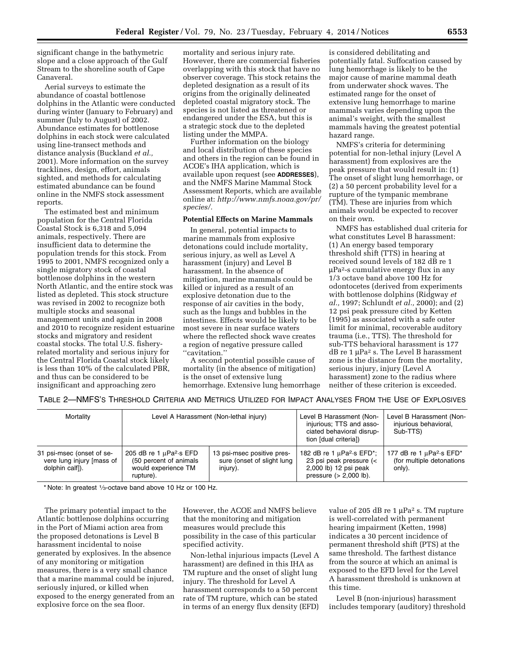significant change in the bathymetric slope and a close approach of the Gulf Stream to the shoreline south of Cape Canaveral.

Aerial surveys to estimate the abundance of coastal bottlenose dolphins in the Atlantic were conducted during winter (January to February) and summer (July to August) of 2002. Abundance estimates for bottlenose dolphins in each stock were calculated using line-transect methods and distance analysis (Buckland *et al.,*  2001). More information on the survey tracklines, design, effort, animals sighted, and methods for calculating estimated abundance can be found online in the NMFS stock assessment reports.

The estimated best and minimum population for the Central Florida Coastal Stock is 6,318 and 5,094 animals, respectively. There are insufficient data to determine the population trends for this stock. From 1995 to 2001, NMFS recognized only a single migratory stock of coastal bottlenose dolphins in the western North Atlantic, and the entire stock was listed as depleted. This stock structure was revised in 2002 to recognize both multiple stocks and seasonal management units and again in 2008 and 2010 to recognize resident estuarine stocks and migratory and resident coastal stocks. The total U.S. fisheryrelated mortality and serious injury for the Central Florida Coastal stock likely is less than 10% of the calculated PBR, and thus can be considered to be insignificant and approaching zero

mortality and serious injury rate. However, there are commercial fisheries overlapping with this stock that have no observer coverage. This stock retains the depleted designation as a result of its origins from the originally delineated depleted coastal migratory stock. The species is not listed as threatened or endangered under the ESA, but this is a strategic stock due to the depleted listing under the MMPA.

Further information on the biology and local distribution of these species and others in the region can be found in ACOE's IHA application, which is available upon request (see **ADDRESSES**), and the NMFS Marine Mammal Stock Assessment Reports, which are available online at: *[http://www.nmfs.noaa.gov/pr/](http://www.nmfs.noaa.gov/pr/species/) [species/.](http://www.nmfs.noaa.gov/pr/species/)* 

#### **Potential Effects on Marine Mammals**

In general, potential impacts to marine mammals from explosive detonations could include mortality, serious injury, as well as Level A harassment (injury) and Level B harassment. In the absence of mitigation, marine mammals could be killed or injured as a result of an explosive detonation due to the response of air cavities in the body, such as the lungs and bubbles in the intestines. Effects would be likely to be most severe in near surface waters where the reflected shock wave creates a region of negative pressure called ''cavitation.''

A second potential possible cause of mortality (in the absence of mitigation) is the onset of extensive lung hemorrhage. Extensive lung hemorrhage

is considered debilitating and potentially fatal. Suffocation caused by lung hemorrhage is likely to be the major cause of marine mammal death from underwater shock waves. The estimated range for the onset of extensive lung hemorrhage to marine mammals varies depending upon the animal's weight, with the smallest mammals having the greatest potential hazard range.

NMFS's criteria for determining potential for non-lethal injury (Level A harassment) from explosives are the peak pressure that would result in: (1) The onset of slight lung hemorrhage, or (2) a 50 percent probability level for a rupture of the tympanic membrane (TM). These are injuries from which animals would be expected to recover on their own.

NMFS has established dual criteria for what constitutes Level B harassment: (1) An energy based temporary threshold shift (TTS) in hearing at received sound levels of 182 dB re 1  $\mu$ Pa<sup>2</sup>-s cumulative energy flux in any 1/3 octave band above 100 Hz for odontocetes (derived from experiments with bottlenose dolphins (Ridgway *et al.,* 1997; Schlundt *et al.,* 2000); and (2) 12 psi peak pressure cited by Ketten (1995) as associated with a safe outer limit for minimal, recoverable auditory trauma (i.e., TTS). The threshold for sub-TTS behavioral harassment is 177  $dB$  re 1  $\mu$ Pa<sup>2</sup> s. The Level B harassment zone is the distance from the mortality, serious injury, injury (Level A harassment) zone to the radius where neither of these criterion is exceeded.

TABLE 2—NMFS'S THRESHOLD CRITERIA AND METRICS UTILIZED FOR IMPACT ANALYSES FROM THE USE OF EXPLOSIVES

| Mortality                                                                 |                                                                                                         | Level A Harassment (Non-lethal injury)                               | Level B Harassment (Non-<br>injurious; TTS and asso-<br>ciated behavioral disrup-<br>tion [dual criteria])                                                        | Level B Harassment (Non-<br>injurious behavioral,<br>Sub-TTS)                                 |
|---------------------------------------------------------------------------|---------------------------------------------------------------------------------------------------------|----------------------------------------------------------------------|-------------------------------------------------------------------------------------------------------------------------------------------------------------------|-----------------------------------------------------------------------------------------------|
| 31 psi-msec (onset of se-<br>vere lung injury [mass of<br>dolphin calf]). | 205 dB re 1 $\mu$ Pa <sup>2</sup> ·s EFD<br>(50 percent of animals)<br>would experience TM<br>rupture). | 13 psi-msec positive pres-<br>sure (onset of slight lung<br>injury). | 182 dB re 1 $\mu$ Pa <sup>2</sup> ·s EFD <sup>*</sup> ;<br>23 psi peak pressure $\left\langle \right\rangle$<br>2,000 lb) 12 psi peak<br>pressure $(> 2,000$ lb). | 177 dB re 1 $\mu$ Pa <sup>2</sup> ·s EFD <sup>*</sup><br>(for multiple detonations)<br>only). |

\* Note: In greatest 1⁄3-octave band above 10 Hz or 100 Hz.

The primary potential impact to the Atlantic bottlenose dolphins occurring in the Port of Miami action area from the proposed detonations is Level B harassment incidental to noise generated by explosives. In the absence of any monitoring or mitigation measures, there is a very small chance that a marine mammal could be injured, seriously injured, or killed when exposed to the energy generated from an explosive force on the sea floor.

However, the ACOE and NMFS believe that the monitoring and mitigation measures would preclude this possibility in the case of this particular specified activity.

Non-lethal injurious impacts (Level A harassment) are defined in this IHA as TM rupture and the onset of slight lung injury. The threshold for Level A harassment corresponds to a 50 percent rate of TM rupture, which can be stated in terms of an energy flux density (EFD)

value of 205 dB re 1  $\mu$ Pa<sup>2</sup> s. TM rupture is well-correlated with permanent hearing impairment (Ketten, 1998) indicates a 30 percent incidence of permanent threshold shift (PTS) at the same threshold. The farthest distance from the source at which an animal is exposed to the EFD level for the Level A harassment threshold is unknown at this time.

Level B (non-injurious) harassment includes temporary (auditory) threshold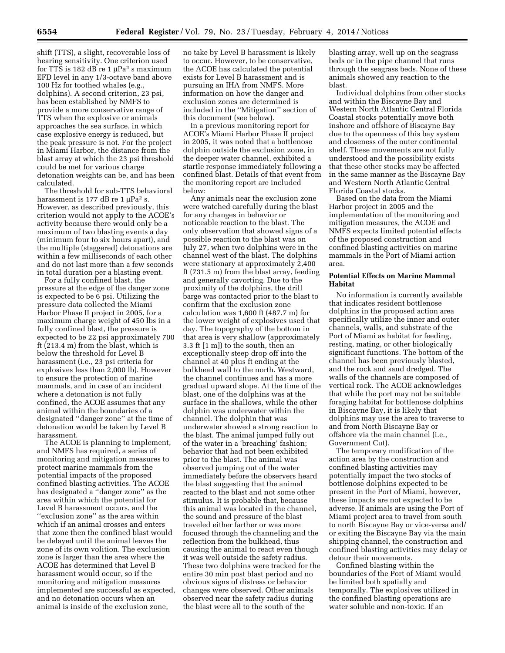shift (TTS), a slight, recoverable loss of hearing sensitivity. One criterion used for TTS is 182 dB re 1  $\mu$ Pa<sup>2</sup> s maximum EFD level in any 1/3-octave band above 100 Hz for toothed whales (e.g., dolphins). A second criterion, 23 psi, has been established by NMFS to provide a more conservative range of TTS when the explosive or animals approaches the sea surface, in which case explosive energy is reduced, but the peak pressure is not. For the project in Miami Harbor, the distance from the blast array at which the 23 psi threshold could be met for various charge detonation weights can be, and has been calculated.

The threshold for sub-TTS behavioral harassment is 177 dB re 1  $\mu$ Pa<sup>2</sup> s. However, as described previously, this criterion would not apply to the ACOE's activity because there would only be a maximum of two blasting events a day (minimum four to six hours apart), and the multiple (staggered) detonations are within a few milliseconds of each other and do not last more than a few seconds in total duration per a blasting event.

For a fully confined blast, the pressure at the edge of the danger zone is expected to be 6 psi. Utilizing the pressure data collected the Miami Harbor Phase II project in 2005, for a maximum charge weight of 450 lbs in a fully confined blast, the pressure is expected to be 22 psi approximately 700 ft (213.4 m) from the blast, which is below the threshold for Level B harassment (i.e., 23 psi criteria for explosives less than 2,000 lb). However to ensure the protection of marine mammals, and in case of an incident where a detonation is not fully confined, the ACOE assumes that any animal within the boundaries of a designated ''danger zone'' at the time of detonation would be taken by Level B harassment.

The ACOE is planning to implement, and NMFS has required, a series of monitoring and mitigation measures to protect marine mammals from the potential impacts of the proposed confined blasting activities. The ACOE has designated a ''danger zone'' as the area within which the potential for Level B harassment occurs, and the ''exclusion zone'' as the area within which if an animal crosses and enters that zone then the confined blast would be delayed until the animal leaves the zone of its own volition. The exclusion zone is larger than the area where the ACOE has determined that Level B harassment would occur, so if the monitoring and mitigation measures implemented are successful as expected, and no detonation occurs when an animal is inside of the exclusion zone,

no take by Level B harassment is likely to occur. However, to be conservative, the ACOE has calculated the potential exists for Level B harassment and is pursuing an IHA from NMFS. More information on how the danger and exclusion zones are determined is included in the ''Mitigation'' section of this document (see below).

In a previous monitoring report for ACOE's Miami Harbor Phase II project in 2005, it was noted that a bottlenose dolphin outside the exclusion zone, in the deeper water channel, exhibited a startle response immediately following a confined blast. Details of that event from the monitoring report are included below:

Any animals near the exclusion zone were watched carefully during the blast for any changes in behavior or noticeable reaction to the blast. The only observation that showed signs of a possible reaction to the blast was on July 27, when two dolphins were in the channel west of the blast. The dolphins were stationary at approximately 2,400 ft (731.5 m) from the blast array, feeding and generally cavorting. Due to the proximity of the dolphins, the drill barge was contacted prior to the blast to confirm that the exclusion zone calculation was 1,600 ft (487.7 m) for the lower weight of explosives used that day. The topography of the bottom in that area is very shallow (approximately 3.3 ft [1 m]) to the south, then an exceptionally steep drop off into the channel at 40 plus ft ending at the bulkhead wall to the north. Westward, the channel continues and has a more gradual upward slope. At the time of the blast, one of the dolphins was at the surface in the shallows, while the other dolphin was underwater within the channel. The dolphin that was underwater showed a strong reaction to the blast. The animal jumped fully out of the water in a 'breaching' fashion; behavior that had not been exhibited prior to the blast. The animal was observed jumping out of the water immediately before the observers heard the blast suggesting that the animal reacted to the blast and not some other stimulus. It is probable that, because this animal was located in the channel, the sound and pressure of the blast traveled either farther or was more focused through the channeling and the reflection from the bulkhead, thus causing the animal to react even though it was well outside the safety radius. These two dolphins were tracked for the entire 30 min post blast period and no obvious signs of distress or behavior changes were observed. Other animals observed near the safety radius during the blast were all to the south of the

blasting array, well up on the seagrass beds or in the pipe channel that runs through the seagrass beds. None of these animals showed any reaction to the blast.

Individual dolphins from other stocks and within the Biscayne Bay and Western North Atlantic Central Florida Coastal stocks potentially move both inshore and offshore of Biscayne Bay due to the openness of this bay system and closeness of the outer continental shelf. These movements are not fully understood and the possibility exists that these other stocks may be affected in the same manner as the Biscayne Bay and Western North Atlantic Central Florida Coastal stocks.

Based on the data from the Miami Harbor project in 2005 and the implementation of the monitoring and mitigation measures, the ACOE and NMFS expects limited potential effects of the proposed construction and confined blasting activities on marine mammals in the Port of Miami action area.

# **Potential Effects on Marine Mammal Habitat**

No information is currently available that indicates resident bottlenose dolphins in the proposed action area specifically utilize the inner and outer channels, walls, and substrate of the Port of Miami as habitat for feeding, resting, mating, or other biologically significant functions. The bottom of the channel has been previously blasted, and the rock and sand dredged. The walls of the channels are composed of vertical rock. The ACOE acknowledges that while the port may not be suitable foraging habitat for bottlenose dolphins in Biscayne Bay, it is likely that dolphins may use the area to traverse to and from North Biscayne Bay or offshore via the main channel (i.e., Government Cut).

The temporary modification of the action area by the construction and confined blasting activities may potentially impact the two stocks of bottlenose dolphins expected to be present in the Port of Miami, however, these impacts are not expected to be adverse. If animals are using the Port of Miami project area to travel from south to north Biscayne Bay or vice-versa and/ or exiting the Biscayne Bay via the main shipping channel, the construction and confined blasting activities may delay or detour their movements.

Confined blasting within the boundaries of the Port of Miami would be limited both spatially and temporally. The explosives utilized in the confined blasting operations are water soluble and non-toxic. If an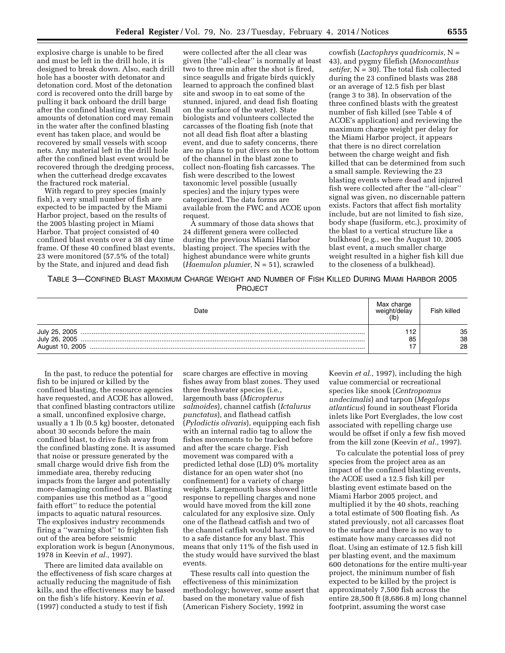explosive charge is unable to be fired and must be left in the drill hole, it is designed to break down. Also, each drill hole has a booster with detonator and detonation cord. Most of the detonation cord is recovered onto the drill barge by pulling it back onboard the drill barge after the confined blasting event. Small amounts of detonation cord may remain in the water after the confined blasting event has taken place, and would be recovered by small vessels with scoop nets. Any material left in the drill hole after the confined blast event would be recovered through the dredging process, when the cutterhead dredge excavates the fractured rock material.

With regard to prey species (mainly fish), a very small number of fish are expected to be impacted by the Miami Harbor project, based on the results of the 2005 blasting project in Miami Harbor. That project consisted of 40 confined blast events over a 38 day time frame. Of these 40 confined blast events, 23 were monitored (57.5% of the total) by the State, and injured and dead fish

were collected after the all clear was given (the ''all-clear'' is normally at least two to three min after the shot is fired, since seagulls and frigate birds quickly learned to approach the confined blast site and swoop in to eat some of the stunned, injured, and dead fish floating on the surface of the water). State biologists and volunteers collected the carcasses of the floating fish (note that not all dead fish float after a blasting event, and due to safety concerns, there are no plans to put divers on the bottom of the channel in the blast zone to collect non-floating fish carcasses. The fish were described to the lowest taxonomic level possible (usually species) and the injury types were categorized. The data forms are available from the FWC and ACOE upon request.

A summary of those data shows that 24 different genera were collected during the previous Miami Harbor blasting project. The species with the highest abundance were white grunts (*Haemulon plumier,* N = 51), scrawled

cowfish (*Lactophrys quadricornis,* N = 43), and pygmy filefish (*Monocanthus setifer,* N = 30). The total fish collected during the 23 confined blasts was 288 or an average of 12.5 fish per blast (range 3 to 38). In observation of the three confined blasts with the greatest number of fish killed (see Table 4 of ACOE's application) and reviewing the maximum charge weight per delay for the Miami Harbor project, it appears that there is no direct correlation between the charge weight and fish killed that can be determined from such a small sample. Reviewing the 23 blasting events where dead and injured fish were collected after the ''all-clear'' signal was given, no discernable pattern exists. Factors that affect fish mortality include, but are not limited to fish size, body shape (fusiform, etc.), proximity of the blast to a vertical structure like a bulkhead (e.g., see the August 10, 2005 blast event, a much smaller charge weight resulted in a higher fish kill due to the closeness of a bulkhead).

TABLE 3—CONFINED BLAST MAXIMUM CHARGE WEIGHT AND NUMBER OF FISH KILLED DURING MIAMI HARBOR 2005 PROJECT

| Date            | Max charge<br>weight/delav<br>$($ lb | Fish killed    |
|-----------------|--------------------------------------|----------------|
| August 10, 2005 | 85                                   | 35<br>38<br>28 |

In the past, to reduce the potential for fish to be injured or killed by the confined blasting, the resource agencies have requested, and ACOE has allowed, that confined blasting contractors utilize a small, unconfined explosive charge, usually a 1 lb (0.5 kg) booster, detonated about 30 seconds before the main confined blast, to drive fish away from the confined blasting zone. It is assumed that noise or pressure generated by the small charge would drive fish from the immediate area, thereby reducing impacts from the larger and potentially more-damaging confined blast. Blasting companies use this method as a ''good faith effort'' to reduce the potential impacts to aquatic natural resources. The explosives industry recommends firing a ''warning shot'' to frighten fish out of the area before seismic exploration work is begun (Anonymous, 1978 in Keevin *et al.,* 1997).

There are limited data available on the effectiveness of fish scare charges at actually reducing the magnitude of fish kills, and the effectiveness may be based on the fish's life history. Keevin *et al.*  (1997) conducted a study to test if fish

scare charges are effective in moving fishes away from blast zones. They used three freshwater species (i.e., largemouth bass (*Micropterus salmoides*), channel catfish (*Ictalurus punctatus*), and flathead catfish (*Pylodictis olivaris*), equipping each fish with an internal radio tag to allow the fishes movements to be tracked before and after the scare charge. Fish movement was compared with a predicted lethal dose (LD) 0% mortality distance for an open water shot (no confinement) for a variety of charge weights. Largemouth bass showed little response to repelling charges and none would have moved from the kill zone calculated for any explosive size. Only one of the flathead catfish and two of the channel catfish would have moved to a safe distance for any blast. This means that only 11% of the fish used in the study would have survived the blast events.

These results call into question the effectiveness of this minimization methodology; however, some assert that based on the monetary value of fish (American Fishery Society, 1992 in

Keevin *et al.,* 1997), including the high value commercial or recreational species like snook (*Centropomus undecimalis*) and tarpon (*Megalops atlanticus*) found in southeast Florida inlets like Port Everglades, the low cost associated with repelling charge use would be offset if only a few fish moved from the kill zone (Keevin *et al.,* 1997).

To calculate the potential loss of prey species from the project area as an impact of the confined blasting events, the ACOE used a 12.5 fish kill per blasting event estimate based on the Miami Harbor 2005 project, and multiplied it by the 40 shots, reaching a total estimate of 500 floating fish. As stated previously, not all carcasses float to the surface and there is no way to estimate how many carcasses did not float. Using an estimate of 12.5 fish kill per blasting event, and the maximum 600 detonations for the entire multi-year project, the minimum number of fish expected to be killed by the project is approximately 7,500 fish across the entire 28,500 ft (8,686.8 m) long channel footprint, assuming the worst case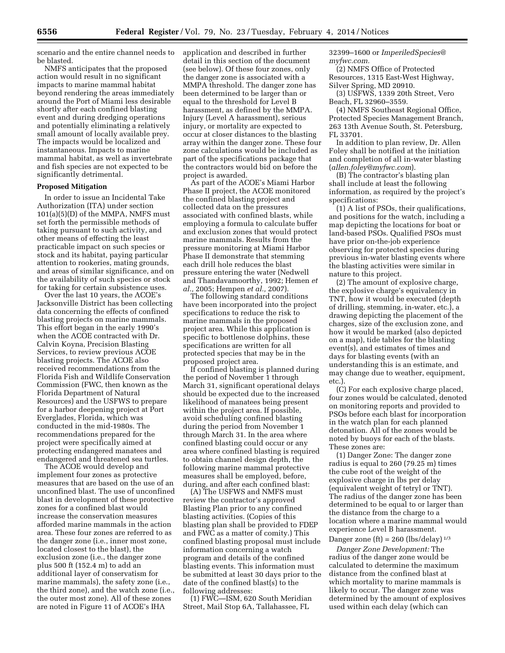scenario and the entire channel needs to be blasted.

NMFS anticipates that the proposed action would result in no significant impacts to marine mammal habitat beyond rendering the areas immediately around the Port of Miami less desirable shortly after each confined blasting event and during dredging operations and potentially eliminating a relatively small amount of locally available prey. The impacts would be localized and instantaneous. Impacts to marine mammal habitat, as well as invertebrate and fish species are not expected to be significantly detrimental.

## **Proposed Mitigation**

In order to issue an Incidental Take Authorization (ITA) under section 101(a)(5)(D) of the MMPA, NMFS must set forth the permissible methods of taking pursuant to such activity, and other means of effecting the least practicable impact on such species or stock and its habitat, paying particular attention to rookeries, mating grounds, and areas of similar significance, and on the availability of such species or stock for taking for certain subsistence uses.

Over the last 10 years, the ACOE's Jacksonville District has been collecting data concerning the effects of confined blasting projects on marine mammals. This effort began in the early 1990's when the ACOE contracted with Dr. Calvin Koyna, Precision Blasting Services, to review previous ACOE blasting projects. The ACOE also received recommendations from the Florida Fish and Wildlife Conservation Commission (FWC, then known as the Florida Department of Natural Resources) and the USFWS to prepare for a harbor deepening project at Port Everglades, Florida, which was conducted in the mid-1980s. The recommendations prepared for the project were specifically aimed at protecting endangered manatees and endangered and threatened sea turtles.

The ACOE would develop and implement four zones as protective measures that are based on the use of an unconfined blast. The use of unconfined blast in development of these protective zones for a confined blast would increase the conservation measures afforded marine mammals in the action area. These four zones are referred to as the danger zone (i.e., inner most zone, located closest to the blast), the exclusion zone (i.e., the danger zone plus 500 ft (152.4 m) to add an additional layer of conservatism for marine mammals), the safety zone (i.e., the third zone), and the watch zone (i.e., the outer most zone). All of these zones are noted in Figure 11 of ACOE's IHA

application and described in further detail in this section of the document (see below). Of these four zones, only the danger zone is associated with a MMPA threshold. The danger zone has been determined to be larger than or equal to the threshold for Level B harassment, as defined by the MMPA. Injury (Level A harassment), serious injury, or mortality are expected to occur at closer distances to the blasting array within the danger zone. These four zone calculations would be included as part of the specifications package that the contractors would bid on before the project is awarded.

As part of the ACOE's Miami Harbor Phase II project, the ACOE monitored the confined blasting project and collected data on the pressures associated with confined blasts, while employing a formula to calculate buffer and exclusion zones that would protect marine mammals. Results from the pressure monitoring at Miami Harbor Phase II demonstrate that stemming each drill hole reduces the blast pressure entering the water (Nedwell and Thandavamoorthy, 1992; Hemen *et al.,* 2005; Hempen *et al.,* 2007).

The following standard conditions have been incorporated into the project specifications to reduce the risk to marine mammals in the proposed project area. While this application is specific to bottlenose dolphins, these specifications are written for all protected species that may be in the proposed project area.

If confined blasting is planned during the period of November 1 through March 31, significant operational delays should be expected due to the increased likelihood of manatees being present within the project area. If possible, avoid scheduling confined blasting during the period from November 1 through March 31. In the area where confined blasting could occur or any area where confined blasting is required to obtain channel design depth, the following marine mammal protective measures shall be employed, before, during, and after each confined blast:

(A) The USFWS and NMFS must review the contractor's approved Blasting Plan prior to any confined blasting activities. (Copies of this blasting plan shall be provided to FDEP and FWC as a matter of comity.) This confined blasting proposal must include information concerning a watch program and details of the confined blasting events. This information must be submitted at least 30 days prior to the date of the confined blast(s) to the following addresses:

(1) FWC—ISM, 620 South Meridian Street, Mail Stop 6A, Tallahassee, FL

32399–1600 or *[ImperiledSpecies@](mailto:ImperiledSpecies@myfwc.com) [myfwc.com.](mailto:ImperiledSpecies@myfwc.com)* 

(2) NMFS Office of Protected Resources, 1315 East-West Highway, Silver Spring, MD 20910.

(3) USFWS, 1339 20th Street, Vero Beach, FL 32960–3559.

(4) NMFS Southeast Regional Office, Protected Species Management Branch, 263 13th Avenue South, St. Petersburg, FL 33701.

In addition to plan review, Dr. Allen Foley shall be notified at the initiation and completion of all in-water blasting (*[allen.foley@myfwc.com](mailto:allen.foley@myfwc.com)*).

(B) The contractor's blasting plan shall include at least the following information, as required by the project's specifications:

(1) A list of PSOs, their qualifications, and positions for the watch, including a map depicting the locations for boat or land-based PSOs. Qualified PSOs must have prior on-the-job experience observing for protected species during previous in-water blasting events where the blasting activities were similar in nature to this project.

(2) The amount of explosive charge, the explosive charge's equivalency in TNT, how it would be executed (depth of drilling, stemming, in-water, etc.), a drawing depicting the placement of the charges, size of the exclusion zone, and how it would be marked (also depicted on a map), tide tables for the blasting event(s), and estimates of times and days for blasting events (with an understanding this is an estimate, and may change due to weather, equipment, etc.).

(C) For each explosive charge placed, four zones would be calculated, denoted on monitoring reports and provided to PSOs before each blast for incorporation in the watch plan for each planned detonation. All of the zones would be noted by buoys for each of the blasts. These zones are:

(1) Danger Zone: The danger zone radius is equal to 260 (79.25 m) times the cube root of the weight of the explosive charge in lbs per delay (equivalent weight of tetryl or TNT). The radius of the danger zone has been determined to be equal to or larger than the distance from the charge to a location where a marine mammal would experience Level B harassment.

#### Danger zone (ft) =  $260$  (lbs/delay)  $^{1/3}$

*Danger Zone Development:* The radius of the danger zone would be calculated to determine the maximum distance from the confined blast at which mortality to marine mammals is likely to occur. The danger zone was determined by the amount of explosives used within each delay (which can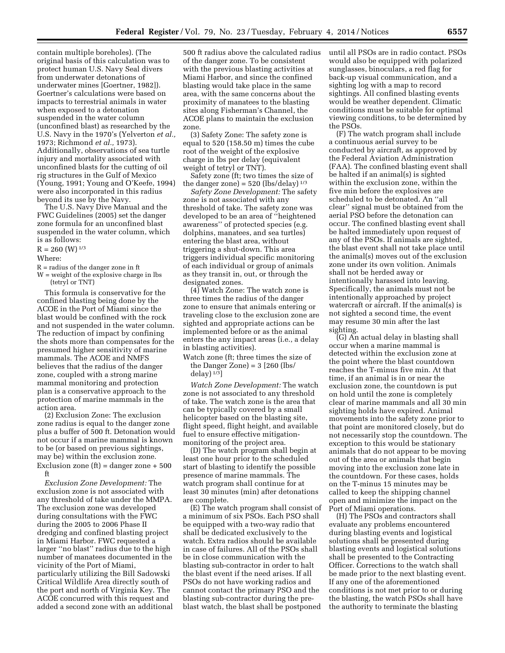contain multiple boreholes). (The original basis of this calculation was to protect human U.S. Navy Seal divers from underwater detonations of underwater mines [Goertner, 1982]). Goertner's calculations were based on impacts to terrestrial animals in water when exposed to a detonation suspended in the water column (unconfined blast) as researched by the U.S. Navy in the 1970's (Yelverton *et al.,*  1973; Richmond *et al.,* 1973). Additionally, observations of sea turtle injury and mortality associated with unconfined blasts for the cutting of oil rig structures in the Gulf of Mexico (Young, 1991; Young and O'Keefe, 1994) were also incorporated in this radius beyond its use by the Navy.

The U.S. Navy Dive Manual and the FWC Guidelines (2005) set the danger zone formula for an unconfined blast suspended in the water column, which is as follows:

# $R = 260$  (W)  $^{1/3}$

#### Where:

- R = radius of the danger zone in ft
- W = weight of the explosive charge in lbs (tetryl or TNT)

This formula is conservative for the confined blasting being done by the ACOE in the Port of Miami since the blast would be confined with the rock and not suspended in the water column. The reduction of impact by confining the shots more than compensates for the presumed higher sensitivity of marine mammals. The ACOE and NMFS believes that the radius of the danger zone, coupled with a strong marine mammal monitoring and protection plan is a conservative approach to the protection of marine mammals in the action area.

(2) Exclusion Zone: The exclusion zone radius is equal to the danger zone plus a buffer of 500 ft. Detonation would not occur if a marine mammal is known to be (or based on previous sightings, may be) within the exclusion zone. Exclusion zone  $ft$  = danger zone + 500 ft

*Exclusion Zone Development:* The exclusion zone is not associated with any threshold of take under the MMPA. The exclusion zone was developed during consultations with the FWC during the 2005 to 2006 Phase II dredging and confined blasting project in Miami Harbor. FWC requested a larger ''no blast'' radius due to the high number of manatees documented in the vicinity of the Port of Miami, particularly utilizing the Bill Sadowski Critical Wildlife Area directly south of the port and north of Virginia Key. The ACOE concurred with this request and added a second zone with an additional 500 ft radius above the calculated radius of the danger zone. To be consistent with the previous blasting activities at Miami Harbor, and since the confined blasting would take place in the same area, with the same concerns about the proximity of manatees to the blasting sites along Fisherman's Channel, the ACOE plans to maintain the exclusion zone.

(3) Safety Zone: The safety zone is equal to 520 (158.50 m) times the cube root of the weight of the explosive charge in lbs per delay (equivalent weight of tetryl or TNT).

Safety zone (ft; two times the size of the danger zone) =  $520$  (lbs/delay)  $^{1/3}$ 

*Safety Zone Development:* The safety zone is not associated with any threshold of take. The safety zone was developed to be an area of ''heightened awareness'' of protected species (e.g. dolphins, manatees, and sea turtles) entering the blast area, without triggering a shut-down. This area triggers individual specific monitoring of each individual or group of animals as they transit in, out, or through the designated zones.

(4) Watch Zone: The watch zone is three times the radius of the danger zone to ensure that animals entering or traveling close to the exclusion zone are sighted and appropriate actions can be implemented before or as the animal enters the any impact areas (i.e., a delay in blasting activities).

Watch zone (ft; three times the size of the Danger Zone) =  $3$  [260 (lbs/ delay $)$ <sup>1/3</sup>]

*Watch Zone Development:* The watch zone is not associated to any threshold of take. The watch zone is the area that can be typically covered by a small helicopter based on the blasting site, flight speed, flight height, and available fuel to ensure effective mitigationmonitoring of the project area.

(D) The watch program shall begin at least one hour prior to the scheduled start of blasting to identify the possible presence of marine mammals. The watch program shall continue for at least 30 minutes (min) after detonations are complete.

(E) The watch program shall consist of a minimum of six PSOs. Each PSO shall be equipped with a two-way radio that shall be dedicated exclusively to the watch. Extra radios should be available in case of failures. All of the PSOs shall be in close communication with the blasting sub-contractor in order to halt the blast event if the need arises. If all PSOs do not have working radios and cannot contact the primary PSO and the blasting sub-contractor during the preblast watch, the blast shall be postponed

until all PSOs are in radio contact. PSOs would also be equipped with polarized sunglasses, binoculars, a red flag for back-up visual communication, and a sighting log with a map to record sightings. All confined blasting events would be weather dependent. Climatic conditions must be suitable for optimal viewing conditions, to be determined by the PSOs.

(F) The watch program shall include a continuous aerial survey to be conducted by aircraft, as approved by the Federal Aviation Administration (FAA). The confined blasting event shall be halted if an animal(s) is sighted within the exclusion zone, within the five min before the explosives are scheduled to be detonated. An ''all clear'' signal must be obtained from the aerial PSO before the detonation can occur. The confined blasting event shall be halted immediately upon request of any of the PSOs. If animals are sighted, the blast event shall not take place until the animal(s) moves out of the exclusion zone under its own volition. Animals shall not be herded away or intentionally harassed into leaving. Specifically, the animals must not be intentionally approached by project watercraft or aircraft. If the animal(s) is not sighted a second time, the event may resume 30 min after the last sighting.

(G) An actual delay in blasting shall occur when a marine mammal is detected within the exclusion zone at the point where the blast countdown reaches the T-minus five min. At that time, if an animal is in or near the exclusion zone, the countdown is put on hold until the zone is completely clear of marine mammals and all 30 min sighting holds have expired. Animal movements into the safety zone prior to that point are monitored closely, but do not necessarily stop the countdown. The exception to this would be stationary animals that do not appear to be moving out of the area or animals that begin moving into the exclusion zone late in the countdown. For these cases, holds on the T-minus 15 minutes may be called to keep the shipping channel open and minimize the impact on the Port of Miami operations.

(H) The PSOs and contractors shall evaluate any problems encountered during blasting events and logistical solutions shall be presented during blasting events and logistical solutions shall be presented to the Contracting Officer. Corrections to the watch shall be made prior to the next blasting event. If any one of the aforementioned conditions is not met prior to or during the blasting, the watch PSOs shall have the authority to terminate the blasting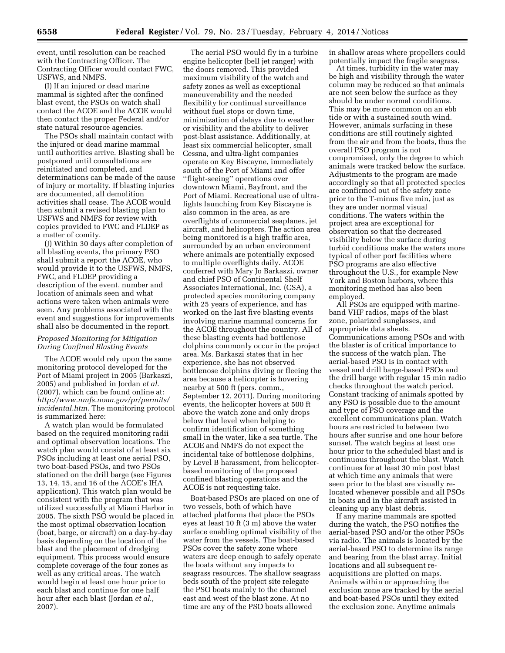event, until resolution can be reached with the Contracting Officer. The Contracting Officer would contact FWC, USFWS, and NMFS.

(I) If an injured or dead marine mammal is sighted after the confined blast event, the PSOs on watch shall contact the ACOE and the ACOE would then contact the proper Federal and/or state natural resource agencies.

The PSOs shall maintain contact with the injured or dead marine mammal until authorities arrive. Blasting shall be postponed until consultations are reinitiated and completed, and determinations can be made of the cause of injury or mortality. If blasting injuries are documented, all demolition activities shall cease. The ACOE would then submit a revised blasting plan to USFWS and NMFS for review with copies provided to FWC and FLDEP as a matter of comity.

(J) Within 30 days after completion of all blasting events, the primary PSO shall submit a report the ACOE, who would provide it to the USFWS, NMFS, FWC, and FLDEP providing a description of the event, number and location of animals seen and what actions were taken when animals were seen. Any problems associated with the event and suggestions for improvements shall also be documented in the report.

# *Proposed Monitoring for Mitigation During Confined Blasting Events*

The ACOE would rely upon the same monitoring protocol developed for the Port of Miami project in 2005 (Barkaszi, 2005) and published in Jordan *et al.*  (2007), which can be found online at: *[http://www.nmfs.noaa.gov/pr/permits/](http://www.nmfs.noaa.gov/pr/permits/incidental.htm) [incidental.htm](http://www.nmfs.noaa.gov/pr/permits/incidental.htm)*. The monitoring protocol is summarized here:

A watch plan would be formulated based on the required monitoring radii and optimal observation locations. The watch plan would consist of at least six PSOs including at least one aerial PSO, two boat-based PSOs, and two PSOs stationed on the drill barge (see Figures 13, 14, 15, and 16 of the ACOE's IHA application). This watch plan would be consistent with the program that was utilized successfully at Miami Harbor in 2005. The sixth PSO would be placed in the most optimal observation location (boat, barge, or aircraft) on a day-by-day basis depending on the location of the blast and the placement of dredging equipment. This process would ensure complete coverage of the four zones as well as any critical areas. The watch would begin at least one hour prior to each blast and continue for one half hour after each blast (Jordan *et al.,*  2007).

The aerial PSO would fly in a turbine engine helicopter (bell jet ranger) with the doors removed. This provided maximum visibility of the watch and safety zones as well as exceptional maneuverability and the needed flexibility for continual surveillance without fuel stops or down time, minimization of delays due to weather or visibility and the ability to deliver post-blast assistance. Additionally, at least six commercial helicopter, small Cessna, and ultra-light companies operate on Key Biscayne, immediately south of the Port of Miami and offer ''flight-seeing'' operations over downtown Miami, Bayfront, and the Port of Miami. Recreational use of ultralights launching from Key Biscayne is also common in the area, as are overflights of commercial seaplanes, jet aircraft, and helicopters. The action area being monitored is a high traffic area, surrounded by an urban environment where animals are potentially exposed to multiple overflights daily. ACOE conferred with Mary Jo Barkaszi, owner and chief PSO of Continental Shelf Associates International, Inc. (CSA), a protected species monitoring company with 25 years of experience, and has worked on the last five blasting events involving marine mammal concerns for the ACOE throughout the country. All of these blasting events had bottlenose dolphins commonly occur in the project area. Ms. Barkaszi states that in her experience, she has not observed bottlenose dolphins diving or fleeing the area because a helicopter is hovering nearby at 500 ft (pers. comm., September 12, 2011). During monitoring events, the helicopter hovers at 500 ft above the watch zone and only drops below that level when helping to confirm identification of something small in the water, like a sea turtle. The ACOE and NMFS do not expect the incidental take of bottlenose dolphins, by Level B harassment, from helicopterbased monitoring of the proposed confined blasting operations and the ACOE is not requesting take.

Boat-based PSOs are placed on one of two vessels, both of which have attached platforms that place the PSOs eyes at least 10 ft (3 m) above the water surface enabling optimal visibility of the water from the vessels. The boat-based PSOs cover the safety zone where waters are deep enough to safely operate the boats without any impacts to seagrass resources. The shallow seagrass beds south of the project site relegate the PSO boats mainly to the channel east and west of the blast zone. At no time are any of the PSO boats allowed

in shallow areas where propellers could potentially impact the fragile seagrass.

At times, turbidity in the water may be high and visibility through the water column may be reduced so that animals are not seen below the surface as they should be under normal conditions. This may be more common on an ebb tide or with a sustained south wind. However, animals surfacing in these conditions are still routinely sighted from the air and from the boats, thus the overall PSO program is not compromised, only the degree to which animals were tracked below the surface. Adjustments to the program are made accordingly so that all protected species are confirmed out of the safety zone prior to the T-minus five min, just as they are under normal visual conditions. The waters within the project area are exceptional for observation so that the decreased visibility below the surface during turbid conditions make the waters more typical of other port facilities where PSO programs are also effective throughout the U.S., for example New York and Boston harbors, where this monitoring method has also been employed.

All PSOs are equipped with marineband VHF radios, maps of the blast zone, polarized sunglasses, and appropriate data sheets. Communications among PSOs and with the blaster is of critical importance to the success of the watch plan. The aerial-based PSO is in contact with vessel and drill barge-based PSOs and the drill barge with regular 15 min radio checks throughout the watch period. Constant tracking of animals spotted by any PSO is possible due to the amount and type of PSO coverage and the excellent communications plan. Watch hours are restricted to between two hours after sunrise and one hour before sunset. The watch begins at least one hour prior to the scheduled blast and is continuous throughout the blast. Watch continues for at least 30 min post blast at which time any animals that were seen prior to the blast are visually relocated whenever possible and all PSOs in boats and in the aircraft assisted in cleaning up any blast debris.

If any marine mammals are spotted during the watch, the PSO notifies the aerial-based PSO and/or the other PSOs via radio. The animals is located by the aerial-based PSO to determine its range and bearing from the blast array. Initial locations and all subsequent reacquisitions are plotted on maps. Animals within or approaching the exclusion zone are tracked by the aerial and boat-based PSOs until they exited the exclusion zone. Anytime animals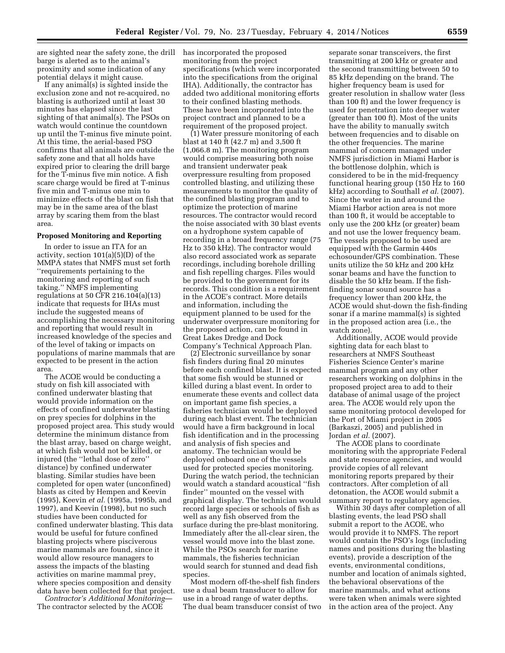are sighted near the safety zone, the drill barge is alerted as to the animal's proximity and some indication of any potential delays it might cause.

If any animal(s) is sighted inside the exclusion zone and not re-acquired, no blasting is authorized until at least 30 minutes has elapsed since the last sighting of that animal(s). The PSOs on watch would continue the countdown up until the T-minus five minute point. At this time, the aerial-based PSO confirms that all animals are outside the safety zone and that all holds have expired prior to clearing the drill barge for the T-minus five min notice. A fish scare charge would be fired at T-minus five min and T-minus one min to minimize effects of the blast on fish that may be in the same area of the blast array by scaring them from the blast area.

#### **Proposed Monitoring and Reporting**

In order to issue an ITA for an activity, section 101(a)(5)(D) of the MMPA states that NMFS must set forth ''requirements pertaining to the monitoring and reporting of such taking.'' NMFS implementing regulations at 50 CFR 216.104(a)(13) indicate that requests for IHAs must include the suggested means of accomplishing the necessary monitoring and reporting that would result in increased knowledge of the species and of the level of taking or impacts on populations of marine mammals that are expected to be present in the action area.

The ACOE would be conducting a study on fish kill associated with confined underwater blasting that would provide information on the effects of confined underwater blasting on prey species for dolphins in the proposed project area. This study would determine the minimum distance from the blast array, based on charge weight, at which fish would not be killed, or injured (the ''lethal dose of zero'' distance) by confined underwater blasting. Similar studies have been completed for open water (unconfined) blasts as cited by Hempen and Keevin (1995), Keevin *et al.* (1995a, 1995b, and 1997), and Keevin (1998), but no such studies have been conducted for confined underwater blasting. This data would be useful for future confined blasting projects where pisciverous marine mammals are found, since it would allow resource managers to assess the impacts of the blasting activities on marine mammal prey, where species composition and density data have been collected for that project.

*Contractor's Additional Monitoring*— The contractor selected by the ACOE

has incorporated the proposed monitoring from the project specifications (which were incorporated into the specifications from the original IHA). Additionally, the contractor has added two additional monitoring efforts to their confined blasting methods. These have been incorporated into the project contract and planned to be a requirement of the proposed project.

(1) Water pressure monitoring of each blast at 140 ft (42.7 m) and 3,500 ft (1,066.8 m). The monitoring program would comprise measuring both noise and transient underwater peak overpressure resulting from proposed controlled blasting, and utilizing these measurements to monitor the quality of the confined blasting program and to optimize the protection of marine resources. The contractor would record the noise associated with 30 blast events on a hydrophone system capable of recording in a broad frequency range (75 Hz to 350 kHz). The contractor would also record associated work as separate recordings, including borehole drilling and fish repelling charges. Files would be provided to the government for its records. This condition is a requirement in the ACOE's contract. More details and information, including the equipment planned to be used for the underwater overpressure monitoring for the proposed action, can be found in Great Lakes Dredge and Dock Company's Technical Approach Plan.

(2) Electronic surveillance by sonar fish finders during final 20 minutes before each confined blast. It is expected that some fish would be stunned or killed during a blast event. In order to enumerate these events and collect data on important game fish species, a fisheries technician would be deployed during each blast event. The technician would have a firm background in local fish identification and in the processing and analysis of fish species and anatomy. The technician would be deployed onboard one of the vessels used for protected species monitoring. During the watch period, the technician would watch a standard acoustical ''fish finder'' mounted on the vessel with graphical display. The technician would record large species or schools of fish as well as any fish observed from the surface during the pre-blast monitoring. Immediately after the all-clear siren, the vessel would move into the blast zone. While the PSOs search for marine mammals, the fisheries technician would search for stunned and dead fish species.

Most modern off-the-shelf fish finders use a dual beam transducer to allow for use in a broad range of water depths. The dual beam transducer consist of two

separate sonar transceivers, the first transmitting at 200 kHz or greater and the second transmitting between 50 to 85 kHz depending on the brand. The higher frequency beam is used for greater resolution in shallow water (less than 100 ft) and the lower frequency is used for penetration into deeper water (greater than 100 ft). Most of the units have the ability to manually switch between frequencies and to disable on the other frequencies. The marine mammal of concern managed under NMFS jurisdiction in Miami Harbor is the bottlenose dolphin, which is considered to be in the mid-frequency functional hearing group (150 Hz to 160 kHz) according to Southall *et al.* (2007). Since the water in and around the Miami Harbor action area is not more than 100 ft, it would be acceptable to only use the 200 kHz (or greater) beam and not use the lower frequency beam. The vessels proposed to be used are equipped with the Garmin 440s echosounder/GPS combination. These units utilize the 50 kHz and 200 kHz sonar beams and have the function to disable the 50 kHz beam. If the fishfinding sonar sound source has a frequency lower than 200 kHz, the ACOE would shut-down the fish-finding sonar if a marine mammal(s) is sighted in the proposed action area (i.e., the watch zone).

Additionally, ACOE would provide sighting data for each blast to researchers at NMFS Southeast Fisheries Science Center's marine mammal program and any other researchers working on dolphins in the proposed project area to add to their database of animal usage of the project area. The ACOE would rely upon the same monitoring protocol developed for the Port of Miami project in 2005 (Barkaszi, 2005) and published in Jordan *et al.* (2007).

The ACOE plans to coordinate monitoring with the appropriate Federal and state resource agencies, and would provide copies of all relevant monitoring reports prepared by their contractors. After completion of all detonation, the ACOE would submit a summary report to regulatory agencies.

Within 30 days after completion of all blasting events, the lead PSO shall submit a report to the ACOE, who would provide it to NMFS. The report would contain the PSO's logs (including names and positions during the blasting events), provide a description of the events, environmental conditions, number and location of animals sighted, the behavioral observations of the marine mammals, and what actions were taken when animals were sighted in the action area of the project. Any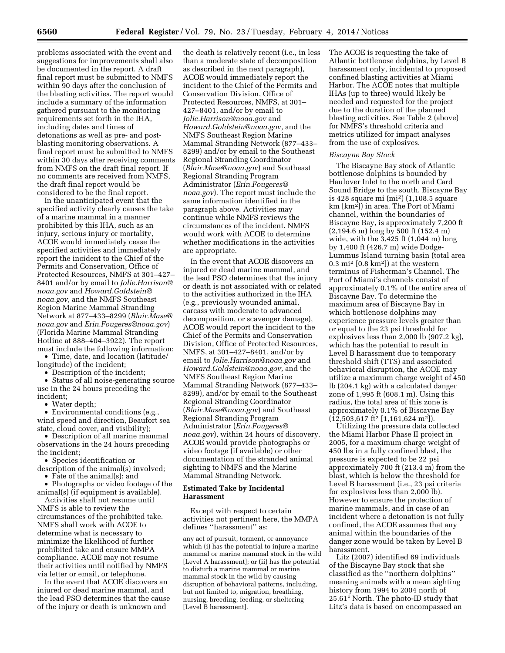problems associated with the event and suggestions for improvements shall also be documented in the report. A draft final report must be submitted to NMFS within 90 days after the conclusion of the blasting activities. The report would include a summary of the information gathered pursuant to the monitoring requirements set forth in the IHA, including dates and times of detonations as well as pre- and postblasting monitoring observations. A final report must be submitted to NMFS within 30 days after receiving comments from NMFS on the draft final report. If no comments are received from NMFS, the draft final report would be considered to be the final report.

In the unanticipated event that the specified activity clearly causes the take of a marine mammal in a manner prohibited by this IHA, such as an injury, serious injury or mortality, ACOE would immediately cease the specified activities and immediately report the incident to the Chief of the Permits and Conservation, Office of Protected Resources, NMFS at 301–427– 8401 and/or by email to *[Jolie.Harrison@](mailto:Jolie.Harrison@noaa.gov) [noaa.gov](mailto:Jolie.Harrison@noaa.gov)* and *[Howard.Goldstein@](mailto:Howard.Goldstein@noaa.gov) [noaa.gov,](mailto:Howard.Goldstein@noaa.gov)* and the NMFS Southeast Region Marine Mammal Stranding Network at 877–433–8299 (*[Blair.Mase@](mailto:Blair.Mase@noaa.gov) [noaa.gov](mailto:Blair.Mase@noaa.gov)* and *[Erin.Fougeres@noaa.gov](mailto:Erin.Fougeres@noaa.gov)*) (Florida Marine Mammal Stranding Hotline at 888–404–3922). The report must include the following information:

• Time, date, and location (latitude/ longitude) of the incident;

• Description of the incident;

• Status of all noise-generating source use in the 24 hours preceding the incident;

Water depth;

• Environmental conditions (e.g., wind speed and direction, Beaufort sea state, cloud cover, and visibility);

• Description of all marine mammal observations in the 24 hours preceding the incident;

• Species identification or description of the animal(s) involved;

• Fate of the animal(s); and

• Photographs or video footage of the animal(s) (if equipment is available).

Activities shall not resume until NMFS is able to review the circumstances of the prohibited take. NMFS shall work with ACOE to determine what is necessary to minimize the likelihood of further prohibited take and ensure MMPA compliance. ACOE may not resume their activities until notified by NMFS via letter or email, or telephone.

In the event that ACOE discovers an injured or dead marine mammal, and the lead PSO determines that the cause of the injury or death is unknown and

the death is relatively recent (i.e., in less than a moderate state of decomposition as described in the next paragraph), ACOE would immediately report the incident to the Chief of the Permits and Conservation Division, Office of Protected Resources, NMFS, at 301– 427–8401, and/or by email to *[Jolie.Harrison@noaa.gov](mailto:Jolie.Harrison@noaa.gov)* and *[Howard.Goldstein@noaa.gov,](mailto:Howard.Goldstein@noaa.gov)* and the NMFS Southeast Region Marine Mammal Stranding Network (877–433– 8299) and/or by email to the Southeast Regional Stranding Coordinator (*[Blair.Mase@noaa.gov](mailto:Blair.Mase@noaa.gov)*) and Southeast Regional Stranding Program Administrator (*[Erin.Fougeres@](mailto:Erin.Fougeres@noaa.gov) [noaa.gov](mailto:Erin.Fougeres@noaa.gov)*). The report must include the same information identified in the paragraph above. Activities may continue while NMFS reviews the circumstances of the incident. NMFS would work with ACOE to determine whether modifications in the activities are appropriate.

In the event that ACOE discovers an injured or dead marine mammal, and the lead PSO determines that the injury or death is not associated with or related to the activities authorized in the IHA (e.g., previously wounded animal, carcass with moderate to advanced decomposition, or scavenger damage), ACOE would report the incident to the Chief of the Permits and Conservation Division, Office of Protected Resources, NMFS, at 301–427–8401, and/or by email to *[Jolie.Harrison@noaa.gov](mailto:Jolie.Harrison@noaa.gov)* and *[Howard.Goldstein@noaa.gov,](mailto:Howard.Goldstein@noaa.gov)* and the NMFS Southeast Region Marine Mammal Stranding Network (877–433– 8299), and/or by email to the Southeast Regional Stranding Coordinator (*[Blair.Mase@noaa.gov](mailto:Blair.Mase@noaa.gov)*) and Southeast Regional Stranding Program Administrator (*[Erin.Fougeres@](mailto:Erin.Fougeres@noaa.gov) [noaa.gov](mailto:Erin.Fougeres@noaa.gov)*), within 24 hours of discovery. ACOE would provide photographs or video footage (if available) or other documentation of the stranded animal sighting to NMFS and the Marine Mammal Stranding Network.

## **Estimated Take by Incidental Harassment**

Except with respect to certain activities not pertinent here, the MMPA defines ''harassment'' as:

any act of pursuit, torment, or annoyance which (i) has the potential to injure a marine mammal or marine mammal stock in the wild [Level A harassment]; or (ii) has the potential to disturb a marine mammal or marine mammal stock in the wild by causing disruption of behavioral patterns, including, but not limited to, migration, breathing, nursing, breeding, feeding, or sheltering [Level B harassment].

The ACOE is requesting the take of Atlantic bottlenose dolphins, by Level B harassment only, incidental to proposed confined blasting activities at Miami Harbor. The ACOE notes that multiple IHAs (up to three) would likely be needed and requested for the project due to the duration of the planned blasting activities. See Table 2 (above) for NMFS's threshold criteria and metrics utilized for impact analyses from the use of explosives.

#### *Biscayne Bay Stock*

The Biscayne Bay stock of Atlantic bottlenose dolphins is bounded by Haulover Inlet to the north and Card Sound Bridge to the south. Biscayne Bay is 428 square mi (mi2) (1,108.5 square km [km2]) in area. The Port of Miami channel, within the boundaries of Biscayne Bay, is approximately 7,200 ft (2,194.6 m) long by 500 ft (152.4 m) wide, with the 3,425 ft (1,044 m) long by 1,400 ft (426.7 m) wide Dodge-Lummus Island turning basin (total area  $0.3$  mi<sup>2</sup> [ $0.8$  km<sup>2</sup>]) at the western terminus of Fisherman's Channel. The Port of Miami's channels consist of approximately 0.1% of the entire area of Biscayne Bay. To determine the maximum area of Biscayne Bay in which bottlenose dolphins may experience pressure levels greater than or equal to the 23 psi threshold for explosives less than 2,000 lb (907.2 kg), which has the potential to result in Level B harassment due to temporary threshold shift (TTS) and associated behavioral disruption, the ACOE may utilize a maximum charge weight of 450 lb (204.1 kg) with a calculated danger zone of 1,995 ft (608.1 m). Using this radius, the total area of this zone is approximately 0.1% of Biscayne Bay (12,503,617 ft2 [1,161,624 m2]).

Utilizing the pressure data collected the Miami Harbor Phase II project in 2005, for a maximum charge weight of 450 lbs in a fully confined blast, the pressure is expected to be 22 psi approximately 700 ft (213.4 m) from the blast, which is below the threshold for Level B harassment (i.e., 23 psi criteria for explosives less than 2,000 lb). However to ensure the protection of marine mammals, and in case of an incident where a detonation is not fully confined, the ACOE assumes that any animal within the boundaries of the danger zone would be taken by Level B harassment.

Litz (2007) identified 69 individuals of the Biscayne Bay stock that she classified as the ''northern dolphins'' meaning animals with a mean sighting history from 1994 to 2004 north of 25.61° North. The photo-ID study that Litz's data is based on encompassed an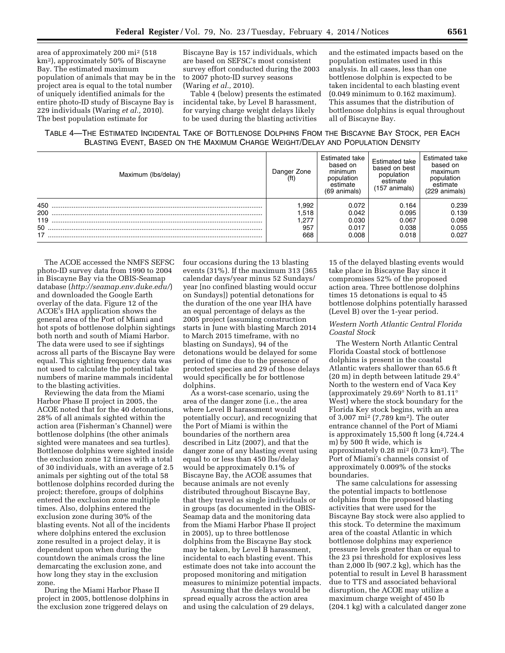area of approximately 200 mi2 (518 km2), approximately 50% of Biscayne Bay. The estimated maximum population of animals that may be in the project area is equal to the total number of uniquely identified animals for the entire photo-ID study of Biscayne Bay is 229 individuals (Waring *et al.,* 2010). The best population estimate for

Biscayne Bay is 157 individuals, which are based on SEFSC's most consistent survey effort conducted during the 2003 to 2007 photo-ID survey seasons (Waring *et al.,* 2010).

Table 4 (below) presents the estimated incidental take, by Level B harassment, for varying charge weight delays likely to be used during the blasting activities

and the estimated impacts based on the population estimates used in this analysis. In all cases, less than one bottlenose dolphin is expected to be taken incidental to each blasting event (0.049 minimum to 0.162 maximum). This assumes that the distribution of bottlenose dolphins is equal throughout all of Biscayne Bay.

TABLE 4—THE ESTIMATED INCIDENTAL TAKE OF BOTTLENOSE DOLPHINS FROM THE BISCAYNE BAY STOCK, PER EACH BLASTING EVENT, BASED ON THE MAXIMUM CHARGE WEIGHT/DELAY AND POPULATION DENSITY

| Maximum (lbs/delay) | Danger Zone<br>(f <sup>t</sup> ) | Estimated take<br>based on<br>minimum<br>population<br>estimate<br>(69 animals) | Estimated take<br>based on best<br>population<br>estimate<br>(157 animals) | Estimated take<br>based on<br>maximum<br>population<br>estimate<br>(229 animals) |
|---------------------|----------------------------------|---------------------------------------------------------------------------------|----------------------------------------------------------------------------|----------------------------------------------------------------------------------|
| 450                 | .992                             | 0.072                                                                           | 0.164                                                                      | 0.239                                                                            |
| 200                 | 1.518                            | 0.042                                                                           | 0.095                                                                      | 0.139                                                                            |
| 119                 | 277.،                            | 0.030                                                                           | 0.067                                                                      | 0.098                                                                            |
| $50$ .              | 957                              | 0.017                                                                           | 0.038                                                                      | 0.055                                                                            |
| 17                  | 668                              | 0.008                                                                           | 0.018                                                                      | 0.027                                                                            |

The ACOE accessed the NMFS SEFSC photo-ID survey data from 1990 to 2004 in Biscayne Bay via the OBIS-Seamap database (*<http://seamap.env.duke.edu/>*) and downloaded the Google Earth overlay of the data. Figure 12 of the ACOE's IHA application shows the general area of the Port of Miami and hot spots of bottlenose dolphin sightings both north and south of Miami Harbor. The data were used to see if sightings across all parts of the Biscayne Bay were equal. This sighting frequency data was not used to calculate the potential take numbers of marine mammals incidental to the blasting activities.

Reviewing the data from the Miami Harbor Phase II project in 2005, the ACOE noted that for the 40 detonations, 28% of all animals sighted within the action area (Fisherman's Channel) were bottlenose dolphins (the other animals sighted were manatees and sea turtles). Bottlenose dolphins were sighted inside the exclusion zone 12 times with a total of 30 individuals, with an average of 2.5 animals per sighting out of the total 58 bottlenose dolphins recorded during the project; therefore, groups of dolphins entered the exclusion zone multiple times. Also, dolphins entered the exclusion zone during 30% of the blasting events. Not all of the incidents where dolphins entered the exclusion zone resulted in a project delay, it is dependent upon when during the countdown the animals cross the line demarcating the exclusion zone, and how long they stay in the exclusion zone.

During the Miami Harbor Phase II project in 2005, bottlenose dolphins in the exclusion zone triggered delays on

four occasions during the 13 blasting events (31%). If the maximum 313 (365 calendar days/year minus 52 Sundays/ year [no confined blasting would occur on Sundays]) potential detonations for the duration of the one year IHA have an equal percentage of delays as the 2005 project (assuming construction starts in June with blasting March 2014 to March 2015 timeframe, with no blasting on Sundays), 94 of the detonations would be delayed for some period of time due to the presence of protected species and 29 of those delays would specifically be for bottlenose dolphins.

As a worst-case scenario, using the area of the danger zone (i.e., the area where Level B harassment would potentially occur), and recognizing that the Port of Miami is within the boundaries of the northern area described in Litz (2007), and that the danger zone of any blasting event using equal to or less than 450 lbs/delay would be approximately 0.1% of Biscayne Bay, the ACOE assumes that because animals are not evenly distributed throughout Biscayne Bay, that they travel as single individuals or in groups (as documented in the OBIS-Seamap data and the monitoring data from the Miami Harbor Phase II project in 2005), up to three bottlenose dolphins from the Biscayne Bay stock may be taken, by Level B harassment, incidental to each blasting event. This estimate does not take into account the proposed monitoring and mitigation measures to minimize potential impacts.

Assuming that the delays would be spread equally across the action area and using the calculation of 29 delays,

15 of the delayed blasting events would take place in Biscayne Bay since it compromises 52% of the proposed action area. Three bottlenose dolphins times 15 detonations is equal to 45 bottlenose dolphins potentially harassed (Level B) over the 1-year period.

### *Western North Atlantic Central Florida Coastal Stock*

The Western North Atlantic Central Florida Coastal stock of bottlenose dolphins is present in the coastal Atlantic waters shallower than 65.6 ft (20 m) in depth between latitude 29.4° North to the western end of Vaca Key (approximately 29.69° North to 81.11° West) where the stock boundary for the Florida Key stock begins, with an area of 3,007 mi2 (7,789 km2). The outer entrance channel of the Port of Miami is approximately 15,500 ft long (4,724.4 m) by 500 ft wide, which is approximately 0.28 mi2 (0.73 km2). The Port of Miami's channels consist of approximately 0.009% of the stocks boundaries.

The same calculations for assessing the potential impacts to bottlenose dolphins from the proposed blasting activities that were used for the Biscayne Bay stock were also applied to this stock. To determine the maximum area of the coastal Atlantic in which bottlenose dolphins may experience pressure levels greater than or equal to the 23 psi threshold for explosives less than 2,000 lb (907.2 kg), which has the potential to result in Level B harassment due to TTS and associated behavioral disruption, the ACOE may utilize a maximum charge weight of 450 lb (204.1 kg) with a calculated danger zone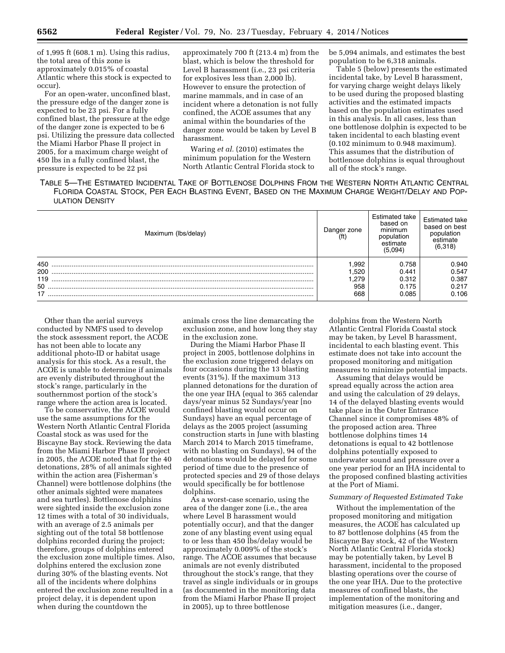of 1,995 ft (608.1 m). Using this radius, the total area of this zone is approximately 0.015% of coastal Atlantic where this stock is expected to occur).

For an open-water, unconfined blast, the pressure edge of the danger zone is expected to be 23 psi. For a fully confined blast, the pressure at the edge of the danger zone is expected to be 6 psi. Utilizing the pressure data collected the Miami Harbor Phase II project in 2005, for a maximum charge weight of 450 lbs in a fully confined blast, the pressure is expected to be 22 psi

approximately 700 ft (213.4 m) from the blast, which is below the threshold for Level B harassment (i.e., 23 psi criteria for explosives less than 2,000 lb). However to ensure the protection of marine mammals, and in case of an incident where a detonation is not fully confined, the ACOE assumes that any animal within the boundaries of the danger zone would be taken by Level B harassment.

Waring *et al.* (2010) estimates the minimum population for the Western North Atlantic Central Florida stock to be 5,094 animals, and estimates the best population to be 6,318 animals.

Table 5 (below) presents the estimated incidental take, by Level B harassment, for varying charge weight delays likely to be used during the proposed blasting activities and the estimated impacts based on the population estimates used in this analysis. In all cases, less than one bottlenose dolphin is expected to be taken incidental to each blasting event (0.102 minimum to 0.948 maximum). This assumes that the distribution of bottlenose dolphins is equal throughout all of the stock's range.

# TABLE 5—THE ESTIMATED INCIDENTAL TAKE OF BOTTLENOSE DOLPHINS FROM THE WESTERN NORTH ATLANTIC CENTRAL FLORIDA COASTAL STOCK, PER EACH BLASTING EVENT, BASED ON THE MAXIMUM CHARGE WEIGHT/DELAY AND POP-ULATION DENSITY

| Maximum (Ibs/delay) | Danger zone<br>Ιt | Estimated take<br>based on<br>minimum<br>population<br>estimate<br>(5,094) | Estimated take<br>based on best<br>population<br>estimate<br>(6,318) |
|---------------------|-------------------|----------------------------------------------------------------------------|----------------------------------------------------------------------|
| 450                 | .992              | 0.758                                                                      | 0.940                                                                |
| 200                 | .520              | 0.441                                                                      | 0.547                                                                |
| 119                 | .279              | 0.312                                                                      | 0.387                                                                |
| 50                  | 958               | 0.175                                                                      | 0.217                                                                |
| 17                  | 668               | 0.085                                                                      | 0.106                                                                |

Other than the aerial surveys conducted by NMFS used to develop the stock assessment report, the ACOE has not been able to locate any additional photo-ID or habitat usage analysis for this stock. As a result, the ACOE is unable to determine if animals are evenly distributed throughout the stock's range, particularly in the southernmost portion of the stock's range where the action area is located.

To be conservative, the ACOE would use the same assumptions for the Western North Atlantic Central Florida Coastal stock as was used for the Biscayne Bay stock. Reviewing the data from the Miami Harbor Phase II project in 2005, the ACOE noted that for the 40 detonations, 28% of all animals sighted within the action area (Fisherman's Channel) were bottlenose dolphins (the other animals sighted were manatees and sea turtles). Bottlenose dolphins were sighted inside the exclusion zone 12 times with a total of 30 individuals, with an average of 2.5 animals per sighting out of the total 58 bottlenose dolphins recorded during the project; therefore, groups of dolphins entered the exclusion zone multiple times. Also, dolphins entered the exclusion zone during 30% of the blasting events. Not all of the incidents where dolphins entered the exclusion zone resulted in a project delay, it is dependent upon when during the countdown the

animals cross the line demarcating the exclusion zone, and how long they stay in the exclusion zone.

During the Miami Harbor Phase II project in 2005, bottlenose dolphins in the exclusion zone triggered delays on four occasions during the 13 blasting events (31%). If the maximum 313 planned detonations for the duration of the one year IHA (equal to 365 calendar days/year minus 52 Sundays/year [no confined blasting would occur on Sundays) have an equal percentage of delays as the 2005 project (assuming construction starts in June with blasting March 2014 to March 2015 timeframe, with no blasting on Sundays), 94 of the detonations would be delayed for some period of time due to the presence of protected species and 29 of those delays would specifically be for bottlenose dolphins.

As a worst-case scenario, using the area of the danger zone (i.e., the area where Level B harassment would potentially occur), and that the danger zone of any blasting event using equal to or less than 450 lbs/delay would be approximately 0.009% of the stock's range. The ACOE assumes that because animals are not evenly distributed throughout the stock's range, that they travel as single individuals or in groups (as documented in the monitoring data from the Miami Harbor Phase II project in 2005), up to three bottlenose

dolphins from the Western North Atlantic Central Florida Coastal stock may be taken, by Level B harassment, incidental to each blasting event. This estimate does not take into account the proposed monitoring and mitigation measures to minimize potential impacts.

Assuming that delays would be spread equally across the action area and using the calculation of 29 delays, 14 of the delayed blasting events would take place in the Outer Entrance Channel since it compromises 48% of the proposed action area. Three bottlenose dolphins times 14 detonations is equal to 42 bottlenose dolphins potentially exposed to underwater sound and pressure over a one year period for an IHA incidental to the proposed confined blasting activities at the Port of Miami.

### *Summary of Requested Estimated Take*

Without the implementation of the proposed monitoring and mitigation measures, the ACOE has calculated up to 87 bottlenose dolphins (45 from the Biscayne Bay stock, 42 of the Western North Atlantic Central Florida stock) may be potentially taken, by Level B harassment, incidental to the proposed blasting operations over the course of the one year IHA. Due to the protective measures of confined blasts, the implementation of the monitoring and mitigation measures (i.e., danger,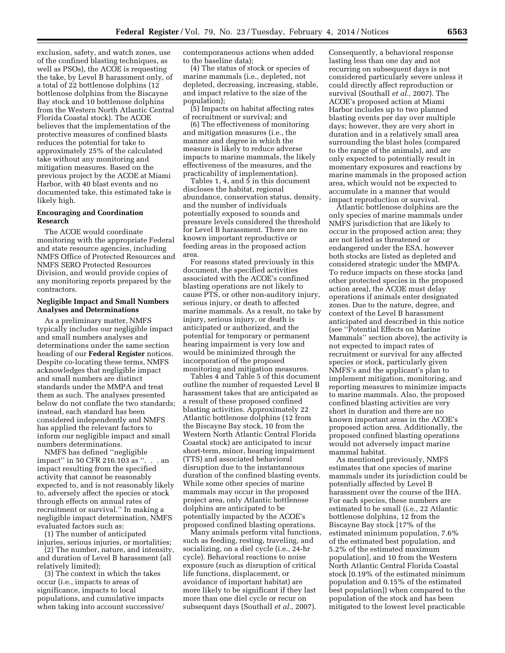exclusion, safety, and watch zones, use of the confined blasting techniques, as well as PSOs), the ACOE is requesting the take, by Level B harassment only, of a total of 22 bottlenose dolphins (12 bottlenose dolphins from the Biscayne Bay stock and 10 bottlenose dolphins from the Western North Atlantic Central Florida Coastal stock). The ACOE believes that the implementation of the protective measures of confined blasts reduces the potential for take to approximately 25% of the calculated take without any monitoring and mitigation measures. Based on the previous project by the ACOE at Miami Harbor, with 40 blast events and no documented take, this estimated take is likely high.

# **Encouraging and Coordination Research**

The ACOE would coordinate monitoring with the appropriate Federal and state resource agencies, including NMFS Office of Protected Resources and NMFS SERO Protected Resources Division, and would provide copies of any monitoring reports prepared by the contractors.

#### **Negligible Impact and Small Numbers Analyses and Determinations**

As a preliminary matter, NMFS typically includes our negligible impact and small numbers analyses and determinations under the same section heading of our **Federal Register** notices. Despite co-locating these terms, NMFS acknowledges that negligible impact and small numbers are distinct standards under the MMPA and treat them as such. The analyses presented below do not conflate the two standards; instead, each standard has been considered independently and NMFS has applied the relevant factors to inform our negligible impact and small numbers determinations.

NMFS has defined ''negligible impact'' in 50 CFR 216.103 as ''. . . an impact resulting from the specified activity that cannot be reasonably expected to, and is not reasonably likely to, adversely affect the species or stock through effects on annual rates of recruitment or survival.'' In making a negligible impact determination, NMFS evaluated factors such as:

(1) The number of anticipated injuries, serious injuries, or mortalities;

(2) The number, nature, and intensity, and duration of Level B harassment (all relatively limited);

(3) The context in which the takes occur (i.e., impacts to areas of significance, impacts to local populations, and cumulative impacts when taking into account successive/ contemporaneous actions when added to the baseline data);

(4) The status of stock or species of marine mammals (i.e., depleted, not depleted, decreasing, increasing, stable, and impact relative to the size of the population);

(5) Impacts on habitat affecting rates of recruitment or survival; and

(6) The effectiveness of monitoring and mitigation measures (i.e., the manner and degree in which the measure is likely to reduce adverse impacts to marine mammals, the likely effectiveness of the measures, and the practicability of implementation).

Tables 1, 4, and 5 in this document discloses the habitat, regional abundance, conservation status, density, and the number of individuals potentially exposed to sounds and pressure levels considered the threshold for Level B harassment. There are no known important reproductive or feeding areas in the proposed action area.

For reasons stated previously in this document, the specified activities associated with the ACOE's confined blasting operations are not likely to cause PTS, or other non-auditory injury, serious injury, or death to affected marine mammals. As a result, no take by injury, serious injury, or death is anticipated or authorized, and the potential for temporary or permanent hearing impairment is very low and would be minimized through the incorporation of the proposed monitoring and mitigation measures.

Tables 4 and Table 5 of this document outline the number of requested Level B harassment takes that are anticipated as a result of these proposed confined blasting activities. Approximately 22 Atlantic bottlenose dolphins (12 from the Biscayne Bay stock, 10 from the Western North Atlantic Central Florida Coastal stock) are anticipated to incur short-term, minor, hearing impairment (TTS) and associated behavioral disruption due to the instantaneous duration of the confined blasting events. While some other species of marine mammals may occur in the proposed project area, only Atlantic bottlenose dolphins are anticipated to be potentially impacted by the ACOE's proposed confined blasting operations.

Many animals perform vital functions, such as feeding, resting, traveling, and socializing, on a diel cycle (i.e., 24-hr cycle). Behavioral reactions to noise exposure (such as disruption of critical life functions, displacement, or avoidance of important habitat) are more likely to be significant if they last more than one diel cycle or recur on subsequent days (Southall *et al.,* 2007).

Consequently, a behavioral response lasting less than one day and not recurring on subsequent days is not considered particularly severe unless it could directly affect reproduction or survival (Southall *et al.,* 2007). The ACOE's proposed action at Miami Harbor includes up to two planned blasting events per day over multiple days; however, they are very short in duration and in a relatively small area surrounding the blast holes (compared to the range of the animals), and are only expected to potentially result in momentary exposures and reactions by marine mammals in the proposed action area, which would not be expected to accumulate in a manner that would impact reproduction or survival.

Atlantic bottlenose dolphins are the only species of marine mammals under NMFS jurisdiction that are likely to occur in the proposed action area; they are not listed as threatened or endangered under the ESA, however both stocks are listed as depleted and considered strategic under the MMPA. To reduce impacts on these stocks (and other protected species in the proposed action area), the ACOE must delay operations if animals enter designated zones. Due to the nature, degree, and context of the Level B harassment anticipated and described in this notice (see ''Potential Effects on Marine Mammals'' section above), the activity is not expected to impact rates of recruitment or survival for any affected species or stock, particularly given NMFS's and the applicant's plan to implement mitigation, monitoring, and reporting measures to minimize impacts to marine mammals. Also, the proposed confined blasting activities are very short in duration and there are no known important areas in the ACOE's proposed action area. Additionally, the proposed confined blasting operations would not adversely impact marine mammal habitat.

As mentioned previously, NMFS estimates that one species of marine mammals under its jurisdiction could be potentially affected by Level B harassment over the course of the IHA. For each species, these numbers are estimated to be small (i.e., 22 Atlantic bottlenose dolphins, 12 from the Biscayne Bay stock [17% of the estimated minimum population, 7.6% of the estimated best population, and 5.2% of the estimated maximum population], and 10 from the Western North Atlantic Central Florida Coastal stock [0.19% of the estimated minimum population and 0.15% of the estimated best population]) when compared to the population of the stock and has been mitigated to the lowest level practicable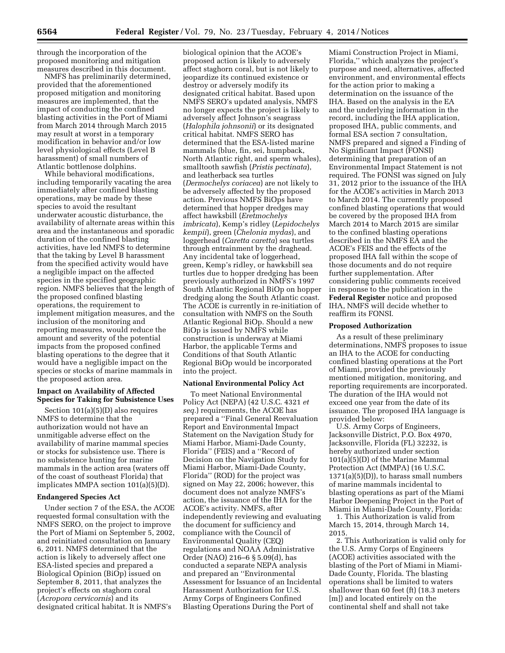through the incorporation of the proposed monitoring and mitigation measures described in this document.

NMFS has preliminarily determined, provided that the aforementioned proposed mitigation and monitoring measures are implemented, that the impact of conducting the confined blasting activities in the Port of Miami from March 2014 through March 2015 may result at worst in a temporary modification in behavior and/or low level physiological effects (Level B harassment) of small numbers of Atlantic bottlenose dolphins.

While behavioral modifications, including temporarily vacating the area immediately after confined blasting operations, may be made by these species to avoid the resultant underwater acoustic disturbance, the availability of alternate areas within this area and the instantaneous and sporadic duration of the confined blasting activities, have led NMFS to determine that the taking by Level B harassment from the specified activity would have a negligible impact on the affected species in the specified geographic region. NMFS believes that the length of the proposed confined blasting operations, the requirement to implement mitigation measures, and the inclusion of the monitoring and reporting measures, would reduce the amount and severity of the potential impacts from the proposed confined blasting operations to the degree that it would have a negligible impact on the species or stocks of marine mammals in the proposed action area.

# **Impact on Availability of Affected Species for Taking for Subsistence Uses**

Section 101(a)(5)(D) also requires NMFS to determine that the authorization would not have an unmitigable adverse effect on the availability of marine mammal species or stocks for subsistence use. There is no subsistence hunting for marine mammals in the action area (waters off of the coast of southeast Florida) that implicates MMPA section 101(a)(5)(D).

### **Endangered Species Act**

Under section 7 of the ESA, the ACOE requested formal consultation with the NMFS SERO, on the project to improve the Port of Miami on September 5, 2002, and reinitiated consultation on January 6, 2011. NMFS determined that the action is likely to adversely affect one ESA-listed species and prepared a Biological Opinion (BiOp) issued on September 8, 2011, that analyzes the project's effects on staghorn coral (*Acropora cervicornis*) and its designated critical habitat. It is NMFS's

biological opinion that the ACOE's proposed action is likely to adversely affect staghorn coral, but is not likely to jeopardize its continued existence or destroy or adversely modify its designated critical habitat. Based upon NMFS SERO's updated analysis, NMFS no longer expects the project is likely to adversely affect Johnson's seagrass (*Halophila johnsonii*) or its designated critical habitat. NMFS SERO has determined that the ESA-listed marine mammals (blue, fin, sei, humpback, North Atlantic right, and sperm whales), smalltooth sawfish (*Pristis pectinata*), and leatherback sea turtles (*Dermochelys coriacea*) are not likely to be adversely affected by the proposed action. Previous NMFS BiOps have determined that hopper dredges may affect hawksbill (*Eretmochelys imbricata*), Kemp's ridley (*Lepidochelys kempii*), green (*Chelonia mydas*), and loggerhead (*Caretta caretta*) sea turtles through entrainment by the draghead. Any incidental take of loggerhead, green, Kemp's ridley, or hawksbill sea turtles due to hopper dredging has been previously authorized in NMFS's 1997 South Atlantic Regional BiOp on hopper dredging along the South Atlantic coast. The ACOE is currently in re-initiation of consultation with NMFS on the South Atlantic Regional BiOp. Should a new BiOp is issued by NMFS while construction is underway at Miami Harbor, the applicable Terms and Conditions of that South Atlantic Regional BiOp would be incorporated into the project.

### **National Environmental Policy Act**

To meet National Environmental Policy Act (NEPA) (42 U.S.C. 4321 *et seq.*) requirements, the ACOE has prepared a ''Final General Reevaluation Report and Environmental Impact Statement on the Navigation Study for Miami Harbor, Miami-Dade County, Florida'' (FEIS) and a ''Record of Decision on the Navigation Study for Miami Harbor, Miami-Dade County, Florida'' (ROD) for the project was signed on May 22, 2006; however, this document does not analyze NMFS's action, the issuance of the IHA for the ACOE's activity. NMFS, after independently reviewing and evaluating the document for sufficiency and compliance with the Council of Environmental Quality (CEQ) regulations and NOAA Administrative Order (NAO) 216–6 § 5.09(d), has conducted a separate NEPA analysis and prepared an ''Environmental Assessment for Issuance of an Incidental Harassment Authorization for U.S. Army Corps of Engineers Confined Blasting Operations During the Port of

Miami Construction Project in Miami, Florida,'' which analyzes the project's purpose and need, alternatives, affected environment, and environmental effects for the action prior to making a determination on the issuance of the IHA. Based on the analysis in the EA and the underlying information in the record, including the IHA application, proposed IHA, public comments, and formal ESA section 7 consultation, NMFS prepared and signed a Finding of No Significant Impact (FONSI) determining that preparation of an Environmental Impact Statement is not required. The FONSI was signed on July 31, 2012 prior to the issuance of the IHA for the ACOE's activities in March 2013 to March 2014. The currently proposed confined blasting operations that would be covered by the proposed IHA from March 2014 to March 2015 are similar to the confined blasting operations described in the NMFS EA and the ACOE's FEIS and the effects of the proposed IHA fall within the scope of those documents and do not require further supplementation. After considering public comments received in response to the publication in the **Federal Register** notice and proposed IHA, NMFS will decide whether to reaffirm its FONSI.

#### **Proposed Authorization**

As a result of these preliminary determinations, NMFS proposes to issue an IHA to the ACOE for conducting confined blasting operations at the Port of Miami, provided the previously mentioned mitigation, monitoring, and reporting requirements are incorporated. The duration of the IHA would not exceed one year from the date of its issuance. The proposed IHA language is provided below:

U.S. Army Corps of Engineers, Jacksonville District, P.O. Box 4970, Jacksonville, Florida (FL) 32232, is hereby authorized under section 101(a)(5)(D) of the Marine Mammal Protection Act (MMPA) (16 U.S.C.  $1371(a)(5)(D)$ , to harass small numbers of marine mammals incidental to blasting operations as part of the Miami Harbor Deepening Project in the Port of Miami in Miami-Dade County, Florida:

1. This Authorization is valid from March 15, 2014, through March 14, 2015.

2. This Authorization is valid only for the U.S. Army Corps of Engineers (ACOE) activities associated with the blasting of the Port of Miami in Miami-Dade County, Florida. The blasting operations shall be limited to waters shallower than 60 feet (ft) (18.3 meters [m]) and located entirely on the continental shelf and shall not take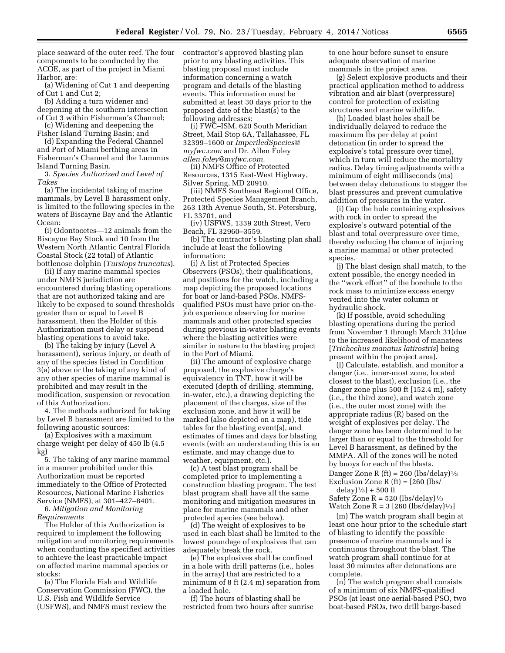place seaward of the outer reef. The four components to be conducted by the ACOE, as part of the project in Miami Harbor, are:

(a) Widening of Cut 1 and deepening of Cut 1 and Cut 2;

(b) Adding a turn widener and deepening at the southern intersection of Cut 3 within Fisherman's Channel;

(c) Widening and deepening the Fisher Island Turning Basin; and

(d) Expanding the Federal Channel and Port of Miami berthing areas in Fisherman's Channel and the Lummus Island Turning Basin.

3. *Species Authorized and Level of Takes* 

(a) The incidental taking of marine mammals, by Level B harassment only, is limited to the following species in the waters of Biscayne Bay and the Atlantic Ocean:

(i) Odontocetes—12 animals from the Biscayne Bay Stock and 10 from the Western North Atlantic Central Florida Coastal Stock (22 total) of Atlantic bottlenose dolphin (*Tursiops truncatus*).

(ii) If any marine mammal species under NMFS jurisdiction are encountered during blasting operations that are not authorized taking and are likely to be exposed to sound thresholds greater than or equal to Level B harassment, then the Holder of this Authorization must delay or suspend blasting operations to avoid take.

(b) The taking by injury (Level A harassment), serious injury, or death of any of the species listed in Condition 3(a) above or the taking of any kind of any other species of marine mammal is prohibited and may result in the modification, suspension or revocation of this Authorization.

4. The methods authorized for taking by Level B harassment are limited to the following acoustic sources:

(a) Explosives with a maximum charge weight per delay of 450 lb (4.5 kg)

5. The taking of any marine mammal in a manner prohibited under this Authorization must be reported immediately to the Office of Protected Resources, National Marine Fisheries Service (NMFS), at 301–427–8401.

6. *Mitigation and Monitoring Requirements* 

The Holder of this Authorization is required to implement the following mitigation and monitoring requirements when conducting the specified activities to achieve the least practicable impact on affected marine mammal species or stocks:

(a) The Florida Fish and Wildlife Conservation Commission (FWC), the U.S. Fish and Wildlife Service (USFWS), and NMFS must review the contractor's approved blasting plan prior to any blasting activities. This blasting proposal must include information concerning a watch program and details of the blasting events. This information must be submitted at least 30 days prior to the proposed date of the blast(s) to the following addresses:

(i) FWC–ISM, 620 South Meridian Street, Mail Stop 6A, Tallahassee, FL 32399–1600 or *[ImperiledSpecies@](mailto:ImperiledSpecies@myfwc.com) [myfwc.com](mailto:ImperiledSpecies@myfwc.com)* and Dr. Allen Foley *[allen.foley@myfwc.com.](mailto:allen.foley@myfwc.com)* 

(ii) NMFS Office of Protected Resources, 1315 East-West Highway, Silver Spring, MD 20910.

(iii) NMFS Southeast Regional Office, Protected Species Management Branch, 263 13th Avenue South, St. Petersburg, FL 33701, and

(iv) USFWS, 1339 20th Street, Vero Beach, FL 32960–3559.

(b) The contractor's blasting plan shall include at least the following information:

(i) A list of Protected Species Observers (PSOs), their qualifications, and positions for the watch, including a map depicting the proposed locations for boat or land-based PSOs. NMFSqualified PSOs must have prior on-thejob experience observing for marine mammals and other protected species during previous in-water blasting events where the blasting activities were similar in nature to the blasting project in the Port of Miami.

(ii) The amount of explosive charge proposed, the explosive charge's equivalency in TNT, how it will be executed (depth of drilling, stemming, in-water, etc.), a drawing depicting the placement of the charges, size of the exclusion zone, and how it will be marked (also depicted on a map), tide tables for the blasting event(s), and estimates of times and days for blasting events (with an understanding this is an estimate, and may change due to weather, equipment, etc.).

(c) A test blast program shall be completed prior to implementing a construction blasting program. The test blast program shall have all the same monitoring and mitigation measures in place for marine mammals and other protected species (see below).

(d) The weight of explosives to be used in each blast shall be limited to the lowest poundage of explosives that can adequately break the rock.

(e) The explosives shall be confined in a hole with drill patterns (i.e., holes in the array) that are restricted to a minimum of 8 ft (2.4 m) separation from a loaded hole.

(f) The hours of blasting shall be restricted from two hours after sunrise to one hour before sunset to ensure adequate observation of marine mammals in the project area.

(g) Select explosive products and their practical application method to address vibration and air blast (overpressure) control for protection of existing structures and marine wildlife.

(h) Loaded blast holes shall be individually delayed to reduce the maximum lbs per delay at point detonation (in order to spread the explosive's total pressure over time), which in turn will reduce the mortality radius. Delay timing adjustments with a minimum of eight milliseconds (ms) between delay detonations to stagger the blast pressures and prevent cumulative addition of pressures in the water.

(i) Cap the hole containing explosives with rock in order to spread the explosive's outward potential of the blast and total overpressure over time, thereby reducing the chance of injuring a marine mammal or other protected species.

(j) The blast design shall match, to the extent possible, the energy needed in the ''work effort'' of the borehole to the rock mass to minimize excess energy vented into the water column or hydraulic shock.

(k) If possible, avoid scheduling blasting operations during the period from November 1 through March 31(due to the increased likelihood of manatees [*Trichechus manatus latirostris*] being present within the project area).

(l) Calculate, establish, and monitor a danger (i.e., inner-most zone, located closest to the blast), exclusion (i.e., the danger zone plus 500 ft [152.4 m], safety (i.e., the third zone), and watch zone (i.e., the outer most zone) with the appropriate radius (R) based on the weight of explosives per delay. The danger zone has been determined to be larger than or equal to the threshold for Level B harassment, as defined by the MMPA. All of the zones will be noted by buoys for each of the blasts. Danger Zone R (ft) = 260 (lbs/delay) $\frac{1}{3}$ 

Exclusion Zone R  $ft$  =  $[260$   $(lbs/$ delay $]^{1/3}$  + 500 ft

Safety Zone  $R = 520$  (lbs/delay) $\frac{1}{3}$ Watch Zone  $R = 3$  [260 (lbs/delay)<sup>1</sup>/<sub>3</sub>]

(m) The watch program shall begin at least one hour prior to the schedule start of blasting to identify the possible presence of marine mammals and is continuous throughout the blast. The watch program shall continue for at least 30 minutes after detonations are complete.

(n) The watch program shall consists of a minimum of six NMFS-qualified PSOs (at least one aerial-based PSO, two boat-based PSOs, two drill barge-based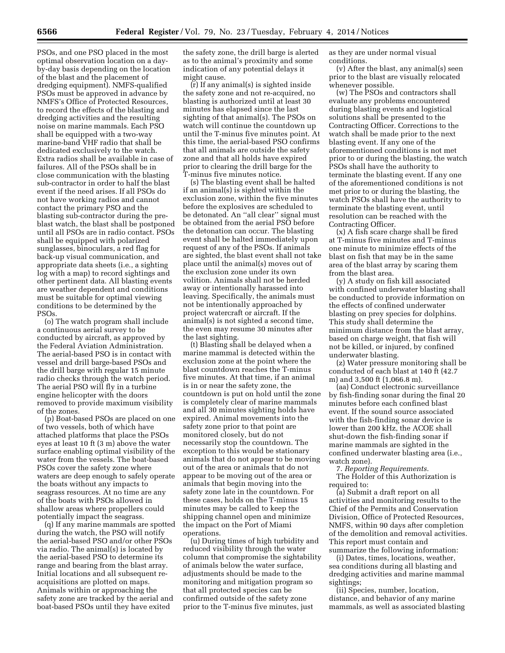PSOs, and one PSO placed in the most optimal observation location on a dayby-day basis depending on the location of the blast and the placement of dredging equipment). NMFS-qualified PSOs must be approved in advance by NMFS's Office of Protected Resources, to record the effects of the blasting and dredging activities and the resulting noise on marine mammals. Each PSO shall be equipped with a two-way marine-band VHF radio that shall be dedicated exclusively to the watch. Extra radios shall be available in case of failures. All of the PSOs shall be in close communication with the blasting sub-contractor in order to half the blast event if the need arises. If all PSOs do not have working radios and cannot contact the primary PSO and the blasting sub-contractor during the preblast watch, the blast shall be postponed until all PSOs are in radio contact. PSOs shall be equipped with polarized sunglasses, binoculars, a red flag for back-up visual communication, and appropriate data sheets (i.e., a sighting log with a map) to record sightings and other pertinent data. All blasting events are weather dependent and conditions must be suitable for optimal viewing conditions to be determined by the PSOs.

(o) The watch program shall include a continuous aerial survey to be conducted by aircraft, as approved by the Federal Aviation Administration. The aerial-based PSO is in contact with vessel and drill barge-based PSOs and the drill barge with regular 15 minute radio checks through the watch period. The aerial PSO will fly in a turbine engine helicopter with the doors removed to provide maximum visibility of the zones.

(p) Boat-based PSOs are placed on one of two vessels, both of which have attached platforms that place the PSOs eyes at least 10 ft (3 m) above the water surface enabling optimal visibility of the water from the vessels. The boat-based PSOs cover the safety zone where waters are deep enough to safely operate the boats without any impacts to seagrass resources. At no time are any of the boats with PSOs allowed in shallow areas where propellers could potentially impact the seagrass.

(q) If any marine mammals are spotted during the watch, the PSO will notify the aerial-based PSO and/or other PSOs via radio. The animal(s) is located by the aerial-based PSO to determine its range and bearing from the blast array. Initial locations and all subsequent reacquisitions are plotted on maps. Animals within or approaching the safety zone are tracked by the aerial and boat-based PSOs until they have exited

the safety zone, the drill barge is alerted as to the animal's proximity and some indication of any potential delays it might cause.

(r) If any animal(s) is sighted inside the safety zone and not re-acquired, no blasting is authorized until at least 30 minutes has elapsed since the last sighting of that animal(s). The PSOs on watch will continue the countdown up until the T-minus five minutes point. At this time, the aerial-based PSO confirms that all animals are outside the safety zone and that all holds have expired prior to clearing the drill barge for the T-minus five minutes notice.

(s) The blasting event shall be halted if an animal(s) is sighted within the exclusion zone, within the five minutes before the explosives are scheduled to be detonated. An ''all clear'' signal must be obtained from the aerial PSO before the detonation can occur. The blasting event shall be halted immediately upon request of any of the PSOs. If animals are sighted, the blast event shall not take place until the animal(s) moves out of the exclusion zone under its own volition. Animals shall not be herded away or intentionally harassed into leaving. Specifically, the animals must not be intentionally approached by project watercraft or aircraft. If the animal(s) is not sighted a second time, the even may resume 30 minutes after the last sighting.

(t) Blasting shall be delayed when a marine mammal is detected within the exclusion zone at the point where the blast countdown reaches the T-minus five minutes. At that time, if an animal is in or near the safety zone, the countdown is put on hold until the zone is completely clear of marine mammals and all 30 minutes sighting holds have expired. Animal movements into the safety zone prior to that point are monitored closely, but do not necessarily stop the countdown. The exception to this would be stationary animals that do not appear to be moving out of the area or animals that do not appear to be moving out of the area or animals that begin moving into the safety zone late in the countdown. For these cases, holds on the T-minus 15 minutes may be called to keep the shipping channel open and minimize the impact on the Port of Miami operations.

(u) During times of high turbidity and reduced visibility through the water column that compromise the sightability of animals below the water surface, adjustments should be made to the monitoring and mitigation program so that all protected species can be confirmed outside of the safety zone prior to the T-minus five minutes, just

as they are under normal visual conditions.

(v) After the blast, any animal(s) seen prior to the blast are visually relocated whenever possible.

(w) The PSOs and contractors shall evaluate any problems encountered during blasting events and logistical solutions shall be presented to the Contracting Officer. Corrections to the watch shall be made prior to the next blasting event. If any one of the aforementioned conditions is not met prior to or during the blasting, the watch PSOs shall have the authority to terminate the blasting event. If any one of the aforementioned conditions is not met prior to or during the blasting, the watch PSOs shall have the authority to terminate the blasting event, until resolution can be reached with the Contracting Officer.

(x) A fish scare charge shall be fired at T-minus five minutes and T-minus one minute to minimize effects of the blast on fish that may be in the same area of the blast array by scaring them from the blast area.

(y) A study on fish kill associated with confined underwater blasting shall be conducted to provide information on the effects of confined underwater blasting on prey species for dolphins. This study shall determine the minimum distance from the blast array, based on charge weight, that fish will not be killed, or injured, by confined underwater blasting.

(z) Water pressure monitoring shall be conducted of each blast at 140 ft (42.7 m) and 3,500 ft (1,066.8 m).

(aa) Conduct electronic surveillance by fish-finding sonar during the final 20 minutes before each confined blast event. If the sound source associated with the fish-finding sonar device is lower than 200 kHz, the ACOE shall shut-down the fish-finding sonar if marine mammals are sighted in the confined underwater blasting area (i.e., watch zone).

7. *Reporting Requirements.*  The Holder of this Authorization is required to:

(a) Submit a draft report on all activities and monitoring results to the Chief of the Permits and Conservation Division, Office of Protected Resources, NMFS, within 90 days after completion of the demolition and removal activities. This report must contain and

summarize the following information: (i) Dates, times, locations, weather,

sea conditions during all blasting and dredging activities and marine mammal sightings; (ii) Species, number, location,

distance, and behavior of any marine mammals, as well as associated blasting